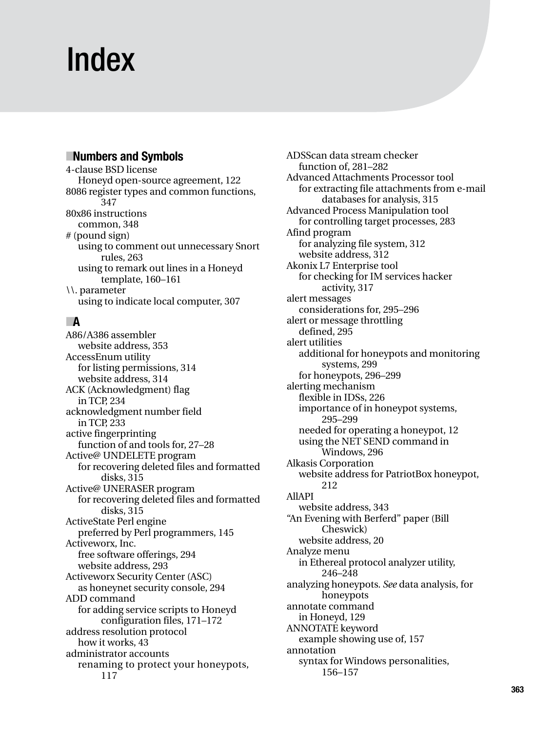# Index

## ■**Numbers and Symbols**

4-clause BSD license Honeyd open-source agreement, 122 8086 register types and common functions, 347 80x86 instructions common, 348 # (pound sign) using to comment out unnecessary Snort rules, 263 using to remark out lines in a Honeyd template, 160–161 \\. parameter using to indicate local computer, 307

# ■**A**

A86/A386 assembler website address, 353 AccessEnum utility for listing permissions, 314 website address, 314 ACK (Acknowledgment) flag in TCP, 234 acknowledgment number field in TCP, 233 active fingerprinting function of and tools for, 27–28 Active@ UNDELETE program for recovering deleted files and formatted disks, 315 Active@ UNERASER program for recovering deleted files and formatted disks, 315 ActiveState Perl engine preferred by Perl programmers, 145 Activeworx, Inc. free software offerings, 294 website address, 293 Activeworx Security Center (ASC) as honeynet security console, 294 ADD command for adding service scripts to Honeyd configuration files, 171–172 address resolution protocol how it works, 43 administrator accounts renaming to protect your honeypots, 117

ADSScan data stream checker function of, 281–282 Advanced Attachments Processor tool for extracting file attachments from e-mail databases for analysis, 315 Advanced Process Manipulation tool for controlling target processes, 283 Afind program for analyzing file system, 312 website address, 312 Akonix L7 Enterprise tool for checking for IM services hacker activity, 317 alert messages considerations for, 295–296 alert or message throttling defined, 295 alert utilities additional for honeypots and monitoring systems, 299 for honeypots, 296–299 alerting mechanism flexible in IDSs, 226 importance of in honeypot systems, 295–299 needed for operating a honeypot, 12 using the NET SEND command in Windows, 296 Alkasis Corporation website address for PatriotBox honeypot, 212 AllAPI website address, 343 "An Evening with Berferd" paper (Bill Cheswick) website address, 20 Analyze menu in Ethereal protocol analyzer utility, 246–248 analyzing honeypots. *See* data analysis, for honeypots annotate command in Honeyd, 129 ANNOTATE keyword example showing use of, 157 annotation syntax for Windows personalities, 156–157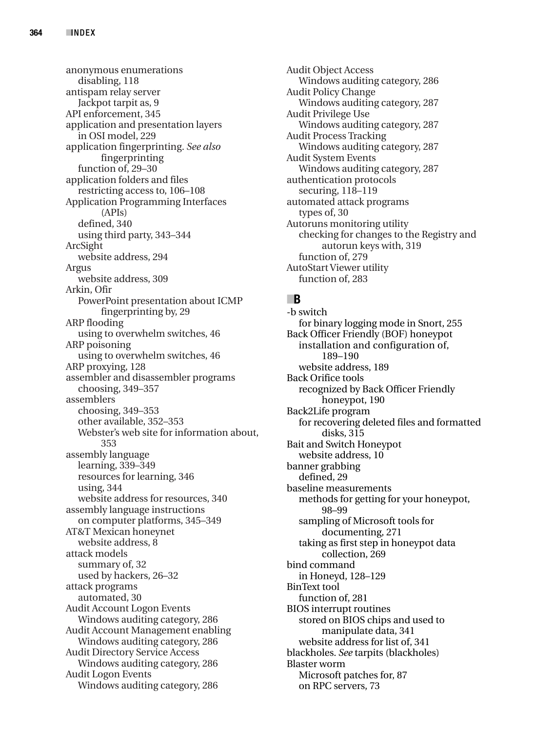anonymous enumerations disabling, 118 antispam relay server Jackpot tarpit as, 9 API enforcement, 345 application and presentation layers in OSI model, 229 application fingerprinting. *See also* fingerprinting function of, 29–30 application folders and files restricting access to, 106–108 Application Programming Interfaces (APIs) defined, 340 using third party, 343–344 ArcSight website address, 294 Argus website address, 309 Arkin, Ofir PowerPoint presentation about ICMP fingerprinting by, 29 ARP flooding using to overwhelm switches, 46 ARP poisoning using to overwhelm switches, 46 ARP proxying, 128 assembler and disassembler programs choosing, 349–357 assemblers choosing, 349–353 other available, 352–353 Webster's web site for information about, 353 assembly language learning, 339–349 resources for learning, 346 using, 344 website address for resources, 340 assembly language instructions on computer platforms, 345–349 AT&T Mexican honeynet website address, 8 attack models summary of, 32 used by hackers, 26–32 attack programs automated, 30 Audit Account Logon Events Windows auditing category, 286 Audit Account Management enabling Windows auditing category, 286 Audit Directory Service Access Windows auditing category, 286 Audit Logon Events Windows auditing category, 286

Audit Object Access Windows auditing category, 286 Audit Policy Change Windows auditing category, 287 Audit Privilege Use Windows auditing category, 287 Audit Process Tracking Windows auditing category, 287 Audit System Events Windows auditing category, 287 authentication protocols securing, 118–119 automated attack programs types of, 30 Autoruns monitoring utility checking for changes to the Registry and autorun keys with, 319 function of, 279 AutoStart Viewer utility function of, 283

#### ■**B**

-b switch for binary logging mode in Snort, 255 Back Officer Friendly (BOF) honeypot installation and configuration of, 189–190 website address, 189 Back Orifice tools recognized by Back Officer Friendly honeypot, 190 Back2Life program for recovering deleted files and formatted disks, 315 Bait and Switch Honeypot website address, 10 banner grabbing defined, 29 baseline measurements methods for getting for your honeypot, 98–99 sampling of Microsoft tools for documenting, 271 taking as first step in honeypot data collection, 269 bind command in Honeyd, 128–129 BinText tool function of, 281 BIOS interrupt routines stored on BIOS chips and used to manipulate data, 341 website address for list of, 341 blackholes. *See* tarpits (blackholes) Blaster worm Microsoft patches for, 87 on RPC servers, 73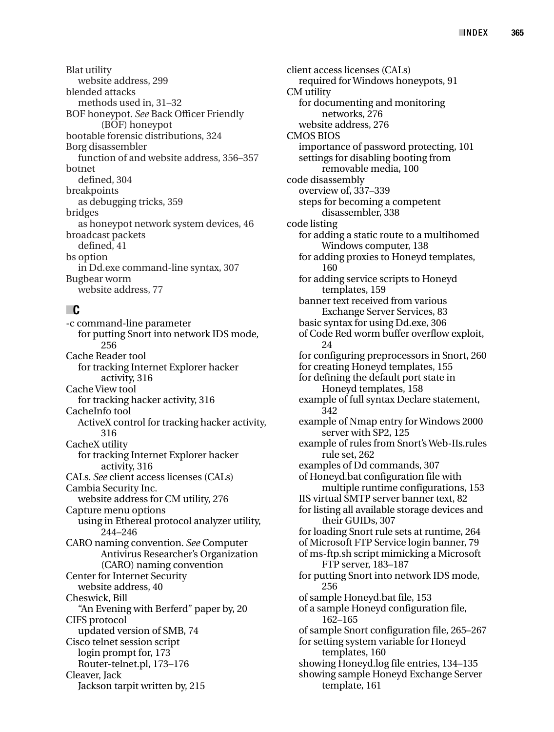Blat utility website address, 299 blended attacks methods used in, 31–32 BOF honeypot. *See* Back Officer Friendly (BOF) honeypot bootable forensic distributions, 324 Borg disassembler function of and website address, 356–357 botnet defined, 304 breakpoints as debugging tricks, 359 bridges as honeypot network system devices, 46 broadcast packets defined, 41 bs option in Dd.exe command-line syntax, 307 Bugbear worm website address, 77

## ■**C**

-c command-line parameter for putting Snort into network IDS mode, 256 Cache Reader tool for tracking Internet Explorer hacker activity, 316 Cache View tool for tracking hacker activity, 316 CacheInfo tool ActiveX control for tracking hacker activity, 316 CacheX utility for tracking Internet Explorer hacker activity, 316 CALs. *See* client access licenses (CALs) Cambia Security Inc. website address for CM utility, 276 Capture menu options using in Ethereal protocol analyzer utility, 244–246 CARO naming convention. *See* Computer Antivirus Researcher's Organization (CARO) naming convention Center for Internet Security website address, 40 Cheswick, Bill "An Evening with Berferd" paper by, 20 CIFS protocol updated version of SMB, 74 Cisco telnet session script login prompt for, 173 Router-telnet.pl, 173–176 Cleaver, Jack Jackson tarpit written by, 215

client access licenses (CALs) required for Windows honeypots, 91 CM utility for documenting and monitoring networks, 276 website address, 276 CMOS BIOS importance of password protecting, 101 settings for disabling booting from removable media, 100 code disassembly overview of, 337–339 steps for becoming a competent disassembler, 338 code listing for adding a static route to a multihomed Windows computer, 138 for adding proxies to Honeyd templates, 160 for adding service scripts to Honeyd templates, 159 banner text received from various Exchange Server Services, 83 basic syntax for using Dd.exe, 306 of Code Red worm buffer overflow exploit, 24 for configuring preprocessors in Snort, 260 for creating Honeyd templates, 155 for defining the default port state in Honeyd templates, 158 example of full syntax Declare statement, 342 example of Nmap entry for Windows 2000 server with SP2, 125 example of rules from Snort's Web-IIs.rules rule set, 262 examples of Dd commands, 307 of Honeyd.bat configuration file with multiple runtime configurations, 153 IIS virtual SMTP server banner text, 82 for listing all available storage devices and their GUIDs, 307 for loading Snort rule sets at runtime, 264 of Microsoft FTP Service login banner, 79 of ms-ftp.sh script mimicking a Microsoft FTP server, 183–187 for putting Snort into network IDS mode, 256 of sample Honeyd.bat file, 153 of a sample Honeyd configuration file, 162–165 of sample Snort configuration file, 265–267 for setting system variable for Honeyd templates, 160 showing Honeyd.log file entries, 134–135 showing sample Honeyd Exchange Server template, 161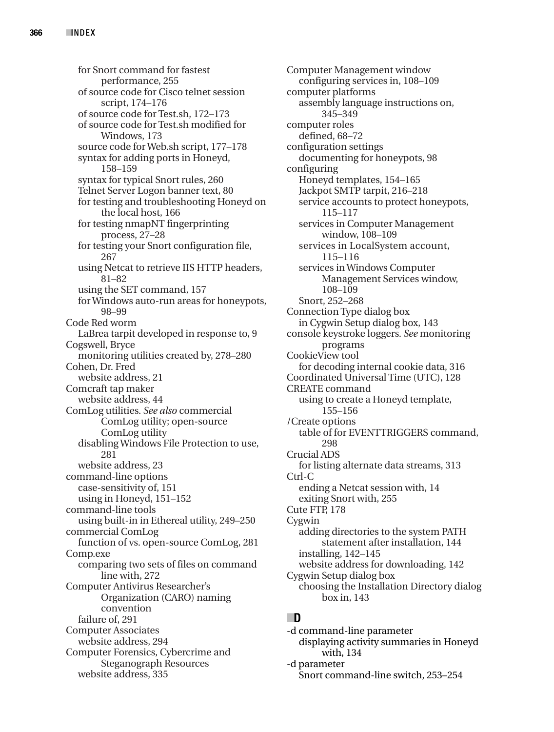for Snort command for fastest performance, 255 of source code for Cisco telnet session script, 174–176 of source code for Test.sh, 172–173 of source code for Test.sh modified for Windows, 173 source code for Web.sh script, 177–178 syntax for adding ports in Honeyd, 158–159 syntax for typical Snort rules, 260 Telnet Server Logon banner text, 80 for testing and troubleshooting Honeyd on the local host, 166 for testing nmapNT fingerprinting process, 27–28 for testing your Snort configuration file, 267 using Netcat to retrieve IIS HTTP headers, 81–82 using the SET command, 157 for Windows auto-run areas for honeypots, 98–99 Code Red worm LaBrea tarpit developed in response to, 9 Cogswell, Bryce monitoring utilities created by, 278–280 Cohen, Dr. Fred website address, 21 Comcraft tap maker website address, 44 ComLog utilities. *See also* commercial ComLog utility; open-source ComLog utility disabling Windows File Protection to use, 281 website address, 23 command-line options case-sensitivity of, 151 using in Honeyd, 151–152 command-line tools using built-in in Ethereal utility, 249–250 commercial ComLog function of vs. open-source ComLog, 281 Comp.exe comparing two sets of files on command line with, 272 Computer Antivirus Researcher's Organization (CARO) naming convention failure of, 291 Computer Associates website address, 294 Computer Forensics, Cybercrime and Steganograph Resources website address, 335

Computer Management window configuring services in, 108–109 computer platforms assembly language instructions on, 345–349 computer roles defined, 68–72 configuration settings documenting for honeypots, 98 configuring Honeyd templates, 154–165 Jackpot SMTP tarpit, 216–218 service accounts to protect honeypots, 115–117 services in Computer Management window, 108–109 services in LocalSystem account, 115–116 services in Windows Computer Management Services window, 108–109 Snort, 252–268 Connection Type dialog box in Cygwin Setup dialog box, 143 console keystroke loggers. *See* monitoring programs CookieView tool for decoding internal cookie data, 316 Coordinated Universal Time (UTC), 128 CREATE command using to create a Honeyd template, 155–156 /Create options table of for EVENTTRIGGERS command, 298 Crucial ADS for listing alternate data streams, 313 Ctrl-C ending a Netcat session with, 14 exiting Snort with, 255 Cute FTP, 178 Cygwin adding directories to the system PATH statement after installation, 144 installing, 142–145 website address for downloading, 142 Cygwin Setup dialog box choosing the Installation Directory dialog box in, 143

#### ■**D**

-d command-line parameter displaying activity summaries in Honeyd with, 134 -d parameter Snort command-line switch, 253–254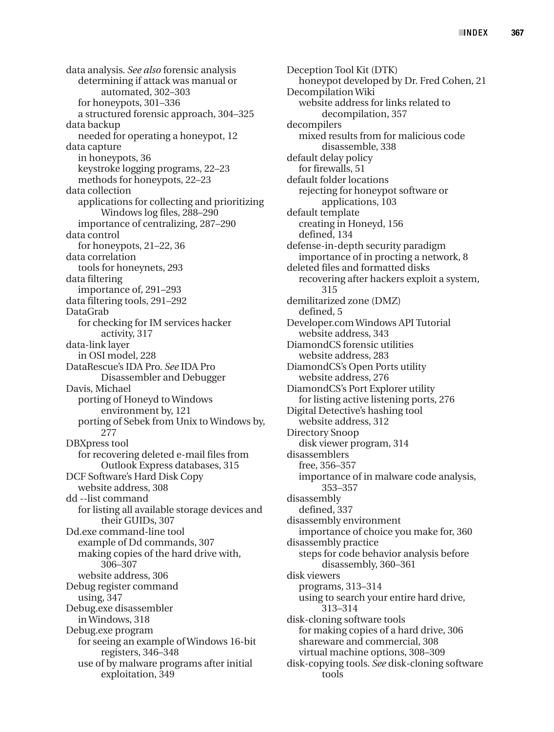data analysis. *See also* forensic analysis determining if attack was manual or automated, 302–303 for honeypots, 301–336 a structured forensic approach, 304–325 data backup needed for operating a honeypot, 12 data capture in honeypots, 36 keystroke logging programs, 22–23 methods for honeypots, 22–23 data collection applications for collecting and prioritizing Windows log files, 288–290 importance of centralizing, 287–290 data control for honeypots, 21–22, 36 data correlation tools for honeynets, 293 data filtering importance of, 291–293 data filtering tools, 291–292 DataGrab for checking for IM services hacker activity, 317 data-link layer in OSI model, 228 DataRescue's IDA Pro. *See* IDA Pro Disassembler and Debugger Davis, Michael porting of Honeyd to Windows environment by, 121 porting of Sebek from Unix to Windows by, 277 DBXpress tool for recovering deleted e-mail files from Outlook Express databases, 315 DCF Software's Hard Disk Copy website address, 308 dd --list command for listing all available storage devices and their GUIDs, 307 Dd.exe command-line tool example of Dd commands, 307 making copies of the hard drive with, 306–307 website address, 306 Debug register command using, 347 Debug.exe disassembler in Windows, 318 Debug.exe program for seeing an example of Windows 16-bit registers, 346–348 use of by malware programs after initial exploitation, 349

Deception Tool Kit (DTK) honeypot developed by Dr. Fred Cohen, 21 Decompilation Wiki website address for links related to decompilation, 357 decompilers mixed results from for malicious code disassemble, 338 default delay policy for firewalls, 51 default folder locations rejecting for honeypot software or applications, 103 default template creating in Honeyd, 156 defined, 134 defense-in-depth security paradigm importance of in procting a network, 8 deleted files and formatted disks recovering after hackers exploit a system, 315 demilitarized zone (DMZ) defined, 5 Developer.com Windows API Tutorial website address, 343 DiamondCS forensic utilities website address, 283 DiamondCS's Open Ports utility website address, 276 DiamondCS's Port Explorer utility for listing active listening ports, 276 Digital Detective's hashing tool website address, 312 Directory Snoop disk viewer program, 314 disassemblers free, 356–357 importance of in malware code analysis, 353–357 disassembly defined, 337 disassembly environment importance of choice you make for, 360 disassembly practice steps for code behavior analysis before disassembly, 360–361 disk viewers programs, 313–314 using to search your entire hard drive, 313–314 disk-cloning software tools for making copies of a hard drive, 306 shareware and commercial, 308 virtual machine options, 308–309 disk-copying tools. *See* disk-cloning software tools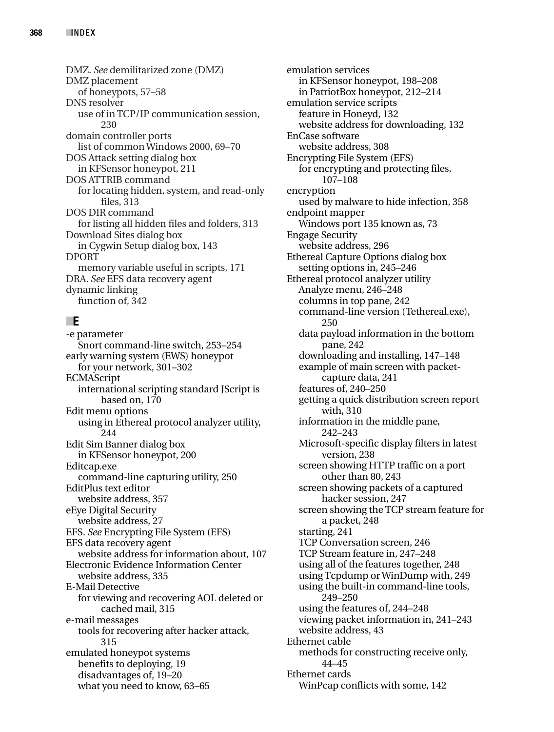DMZ. *See* demilitarized zone (DMZ) DMZ placement of honeypots, 57–58 DNS resolver use of in TCP/IP communication session, 230 domain controller ports list of common Windows 2000, 69–70 DOS Attack setting dialog box in KFSensor honeypot, 211 DOS ATTRIB command for locating hidden, system, and read-only files, 313 DOS DIR command for listing all hidden files and folders, 313 Download Sites dialog box in Cygwin Setup dialog box, 143 DPORT memory variable useful in scripts, 171 DRA. *See* EFS data recovery agent dynamic linking function of, 342

# ■**E**

-e parameter Snort command-line switch, 253–254 early warning system (EWS) honeypot for your network, 301–302 ECMAScript international scripting standard JScript is based on, 170 Edit menu options using in Ethereal protocol analyzer utility, 244 Edit Sim Banner dialog box in KFSensor honeypot, 200 Editcap.exe command-line capturing utility, 250 EditPlus text editor website address, 357 eEye Digital Security website address, 27 EFS. *See* Encrypting File System (EFS) EFS data recovery agent website address for information about, 107 Electronic Evidence Information Center website address, 335 E-Mail Detective for viewing and recovering AOL deleted or cached mail, 315 e-mail messages tools for recovering after hacker attack, 315 emulated honeypot systems benefits to deploying, 19 disadvantages of, 19–20 what you need to know, 63–65

emulation services in KFSensor honeypot, 198–208 in PatriotBox honeypot, 212–214 emulation service scripts feature in Honeyd, 132 website address for downloading, 132 EnCase software website address, 308 Encrypting File System (EFS) for encrypting and protecting files, 107–108 encryption used by malware to hide infection, 358 endpoint mapper Windows port 135 known as, 73 Engage Security website address, 296 Ethereal Capture Options dialog box setting options in, 245–246 Ethereal protocol analyzer utility Analyze menu, 246–248 columns in top pane, 242 command-line version (Tethereal.exe), 250 data payload information in the bottom pane, 242 downloading and installing, 147–148 example of main screen with packetcapture data, 241 features of, 240–250 getting a quick distribution screen report with, 310 information in the middle pane, 242–243 Microsoft-specific display filters in latest version, 238 screen showing HTTP traffic on a port other than 80, 243 screen showing packets of a captured hacker session, 247 screen showing the TCP stream feature for a packet, 248 starting, 241 TCP Conversation screen, 246 TCP Stream feature in, 247–248 using all of the features together, 248 using Tcpdump or WinDump with, 249 using the built-in command-line tools, 249–250 using the features of, 244–248 viewing packet information in, 241–243 website address, 43 Ethernet cable methods for constructing receive only, 44–45 Ethernet cards WinPcap conflicts with some, 142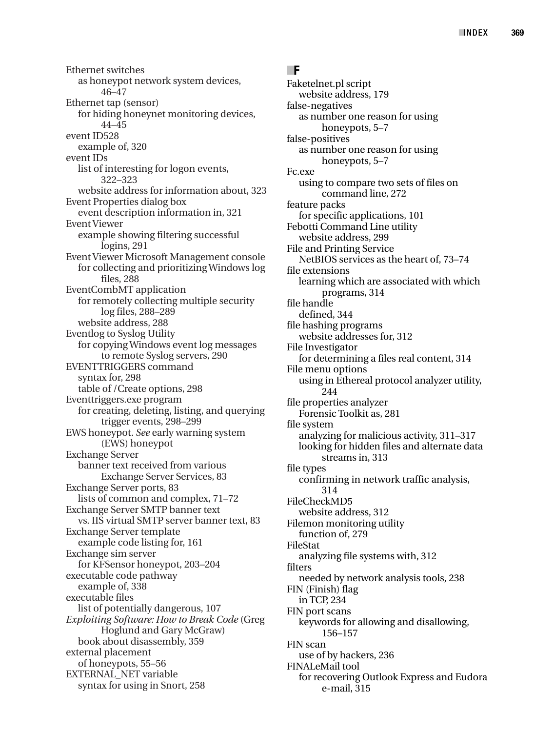Ethernet switches as honeypot network system devices, 46–47 Ethernet tap (sensor) for hiding honeynet monitoring devices, 44–45 event ID528 example of, 320 event IDs list of interesting for logon events, 322–323 website address for information about, 323 Event Properties dialog box event description information in, 321 Event Viewer example showing filtering successful logins, 291 Event Viewer Microsoft Management console for collecting and prioritizing Windows log files, 288 EventCombMT application for remotely collecting multiple security log files, 288–289 website address, 288 Eventlog to Syslog Utility for copying Windows event log messages to remote Syslog servers, 290 EVENTTRIGGERS command syntax for, 298 table of /Create options, 298 Eventtriggers.exe program for creating, deleting, listing, and querying trigger events, 298–299 EWS honeypot. *See* early warning system (EWS) honeypot Exchange Server banner text received from various Exchange Server Services, 83 Exchange Server ports, 83 lists of common and complex, 71–72 Exchange Server SMTP banner text vs. IIS virtual SMTP server banner text, 83 Exchange Server template example code listing for, 161 Exchange sim server for KFSensor honeypot, 203–204 executable code pathway example of, 338 executable files list of potentially dangerous, 107 *Exploiting Software: How to Break Code* (Greg Hoglund and Gary McGraw) book about disassembly, 359 external placement of honeypots, 55–56 EXTERNAL\_NET variable syntax for using in Snort, 258

#### ■**F**

Faketelnet.pl script website address, 179 false-negatives as number one reason for using honeypots, 5–7 false-positives as number one reason for using honeypots, 5–7 Fc.exe using to compare two sets of files on command line, 272 feature packs for specific applications, 101 Febotti Command Line utility website address, 299 File and Printing Service NetBIOS services as the heart of, 73–74 file extensions learning which are associated with which programs, 314 file handle defined, 344 file hashing programs website addresses for, 312 File Investigator for determining a files real content, 314 File menu options using in Ethereal protocol analyzer utility, 244 file properties analyzer Forensic Toolkit as, 281 file system analyzing for malicious activity, 311–317 looking for hidden files and alternate data streams in, 313 file types confirming in network traffic analysis, 314 FileCheckMD5 website address, 312 Filemon monitoring utility function of, 279 FileStat analyzing file systems with, 312 filters needed by network analysis tools, 238 FIN (Finish) flag in TCP, 234 FIN port scans keywords for allowing and disallowing, 156–157 FIN scan use of by hackers, 236 FINALeMail tool for recovering Outlook Express and Eudora e-mail, 315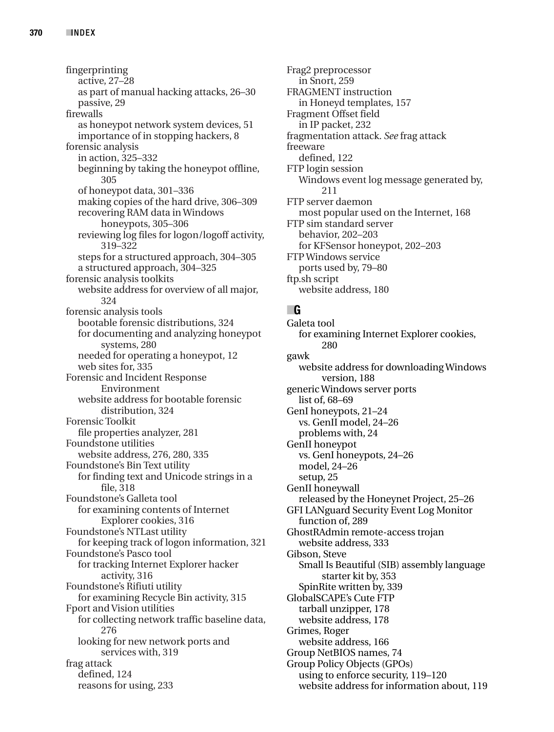fingerprinting active, 27–28 as part of manual hacking attacks, 26–30 passive, 29 firewalls as honeypot network system devices, 51 importance of in stopping hackers, 8 forensic analysis in action, 325–332 beginning by taking the honeypot offline, 305 of honeypot data, 301–336 making copies of the hard drive, 306–309 recovering RAM data in Windows honeypots, 305–306 reviewing log files for logon/logoff activity, 319–322 steps for a structured approach, 304–305 a structured approach, 304–325 forensic analysis toolkits website address for overview of all major, 324 forensic analysis tools bootable forensic distributions, 324 for documenting and analyzing honeypot systems, 280 needed for operating a honeypot, 12 web sites for, 335 Forensic and Incident Response Environment website address for bootable forensic distribution, 324 Forensic Toolkit file properties analyzer, 281 Foundstone utilities website address, 276, 280, 335 Foundstone's Bin Text utility for finding text and Unicode strings in a file, 318 Foundstone's Galleta tool for examining contents of Internet Explorer cookies, 316 Foundstone's NTLast utility for keeping track of logon information, 321 Foundstone's Pasco tool for tracking Internet Explorer hacker activity, 316 Foundstone's Rifiuti utility for examining Recycle Bin activity, 315 Fport and Vision utilities for collecting network traffic baseline data, 276 looking for new network ports and services with, 319 frag attack defined, 124 reasons for using, 233

Frag2 preprocessor in Snort, 259 FRAGMENT instruction in Honeyd templates, 157 Fragment Offset field in IP packet, 232 fragmentation attack. *See* frag attack freeware defined, 122 FTP login session Windows event log message generated by, 211 FTP server daemon most popular used on the Internet, 168 FTP sim standard server behavior, 202–203 for KFSensor honeypot, 202–203 FTP Windows service ports used by, 79–80 ftp.sh script website address, 180

## ■**G**

Galeta tool for examining Internet Explorer cookies, 280 gawk website address for downloading Windows version, 188 generic Windows server ports list of, 68–69 GenI honeypots, 21–24 vs. GenII model, 24–26 problems with, 24 GenII honeypot vs. GenI honeypots, 24–26 model, 24–26 setup, 25 GenII honeywall released by the Honeynet Project, 25–26 GFI LANguard Security Event Log Monitor function of, 289 GhostRAdmin remote-access trojan website address, 333 Gibson, Steve Small Is Beautiful (SIB) assembly language starter kit by, 353 SpinRite written by, 339 GlobalSCAPE's Cute FTP tarball unzipper, 178 website address, 178 Grimes, Roger website address, 166 Group NetBIOS names, 74 Group Policy Objects (GPOs) using to enforce security, 119–120 website address for information about, 119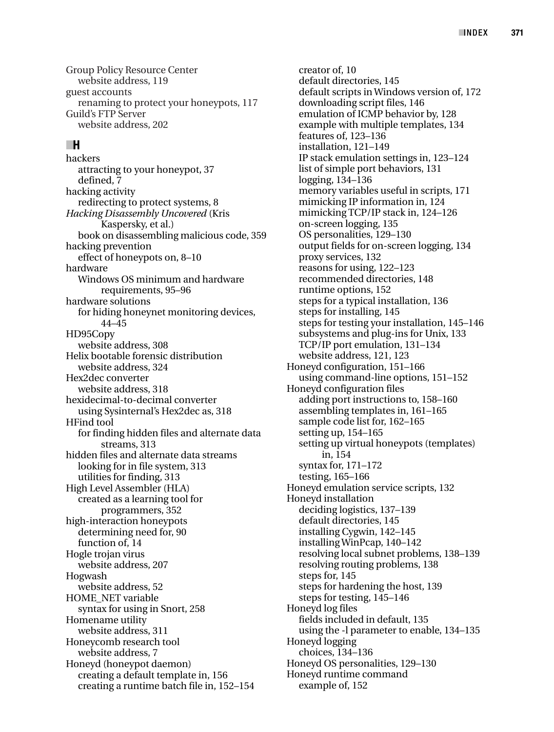Group Policy Resource Center website address, 119 guest accounts renaming to protect your honeypots, 117 Guild's FTP Server website address, 202

## ■**H**

hackers attracting to your honeypot, 37 defined, 7 hacking activity redirecting to protect systems, 8 *Hacking Disassembly Uncovered* (Kris Kaspersky, et al.) book on disassembling malicious code, 359 hacking prevention effect of honeypots on, 8–10 hardware Windows OS minimum and hardware requirements, 95–96 hardware solutions for hiding honeynet monitoring devices, 44–45 HD95Copy website address, 308 Helix bootable forensic distribution website address, 324 Hex2dec converter website address, 318 hexidecimal-to-decimal converter using Sysinternal's Hex2dec as, 318 HFind tool for finding hidden files and alternate data streams, 313 hidden files and alternate data streams looking for in file system, 313 utilities for finding, 313 High Level Assembler (HLA) created as a learning tool for programmers, 352 high-interaction honeypots determining need for, 90 function of, 14 Hogle trojan virus website address, 207 Hogwash website address, 52 HOME\_NET variable syntax for using in Snort, 258 Homename utility website address, 311 Honeycomb research tool website address, 7 Honeyd (honeypot daemon) creating a default template in, 156 creating a runtime batch file in, 152–154

creator of, 10 default directories, 145 default scripts in Windows version of, 172 downloading script files, 146 emulation of ICMP behavior by, 128 example with multiple templates, 134 features of, 123–136 installation, 121–149 IP stack emulation settings in, 123–124 list of simple port behaviors, 131 logging, 134–136 memory variables useful in scripts, 171 mimicking IP information in, 124 mimicking TCP/IP stack in, 124–126 on-screen logging, 135 OS personalities, 129–130 output fields for on-screen logging, 134 proxy services, 132 reasons for using, 122–123 recommended directories, 148 runtime options, 152 steps for a typical installation, 136 steps for installing, 145 steps for testing your installation, 145–146 subsystems and plug-ins for Unix, 133 TCP/IP port emulation, 131–134 website address, 121, 123 Honeyd configuration, 151–166 using command-line options, 151–152 Honeyd configuration files adding port instructions to, 158–160 assembling templates in, 161–165 sample code list for, 162–165 setting up, 154–165 setting up virtual honeypots (templates) in, 154 syntax for, 171–172 testing, 165–166 Honeyd emulation service scripts, 132 Honeyd installation deciding logistics, 137–139 default directories, 145 installing Cygwin, 142–145 installing WinPcap, 140–142 resolving local subnet problems, 138–139 resolving routing problems, 138 steps for, 145 steps for hardening the host, 139 steps for testing, 145–146 Honeyd log files fields included in default, 135 using the -l parameter to enable, 134–135 Honeyd logging choices, 134–136 Honeyd OS personalities, 129–130 Honeyd runtime command example of, 152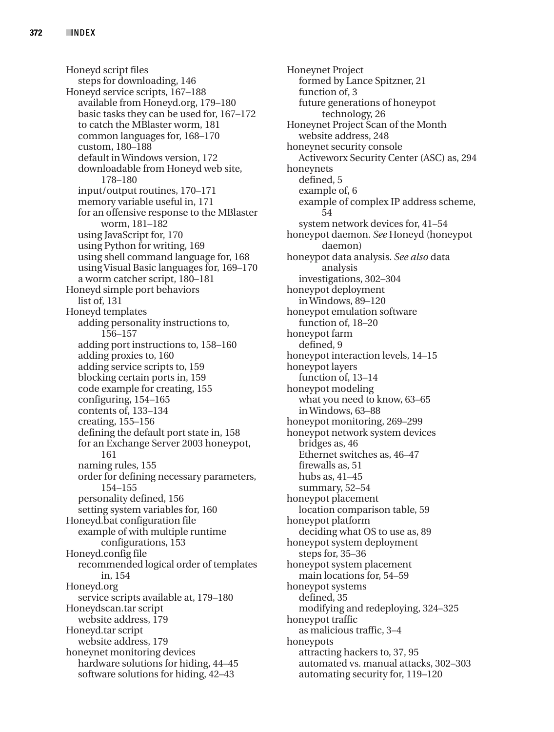Honeyd script files steps for downloading, 146 Honeyd service scripts, 167–188 available from Honeyd.org, 179–180 basic tasks they can be used for, 167–172 to catch the MBlaster worm, 181 common languages for, 168–170 custom, 180–188 default in Windows version, 172 downloadable from Honeyd web site, 178–180 input/output routines, 170–171 memory variable useful in, 171 for an offensive response to the MBlaster worm, 181–182 using JavaScript for, 170 using Python for writing, 169 using shell command language for, 168 using Visual Basic languages for, 169–170 a worm catcher script, 180–181 Honeyd simple port behaviors list of, 131 Honeyd templates adding personality instructions to, 156–157 adding port instructions to, 158–160 adding proxies to, 160 adding service scripts to, 159 blocking certain ports in, 159 code example for creating, 155 configuring, 154–165 contents of, 133–134 creating, 155–156 defining the default port state in, 158 for an Exchange Server 2003 honeypot, 161 naming rules, 155 order for defining necessary parameters, 154–155 personality defined, 156 setting system variables for, 160 Honeyd.bat configuration file example of with multiple runtime configurations, 153 Honeyd.config file recommended logical order of templates in, 154 Honeyd.org service scripts available at, 179–180 Honeydscan.tar script website address, 179 Honeyd.tar script website address, 179 honeynet monitoring devices hardware solutions for hiding, 44–45 software solutions for hiding, 42–43

Honeynet Project formed by Lance Spitzner, 21 function of, 3 future generations of honeypot technology, 26 Honeynet Project Scan of the Month website address, 248 honeynet security console Activeworx Security Center (ASC) as, 294 honeynets defined, 5 example of, 6 example of complex IP address scheme, 54 system network devices for, 41–54 honeypot daemon. *See* Honeyd (honeypot daemon) honeypot data analysis. *See also* data analysis investigations, 302–304 honeypot deployment in Windows, 89–120 honeypot emulation software function of, 18–20 honeypot farm defined, 9 honeypot interaction levels, 14–15 honeypot layers function of, 13–14 honeypot modeling what you need to know, 63–65 in Windows, 63–88 honeypot monitoring, 269–299 honeypot network system devices bridges as, 46 Ethernet switches as, 46–47 firewalls as, 51 hubs as, 41–45 summary, 52–54 honeypot placement location comparison table, 59 honeypot platform deciding what OS to use as, 89 honeypot system deployment steps for, 35–36 honeypot system placement main locations for, 54–59 honeypot systems defined, 35 modifying and redeploying, 324–325 honeypot traffic as malicious traffic, 3–4 honeypots attracting hackers to, 37, 95 automated vs. manual attacks, 302–303 automating security for, 119–120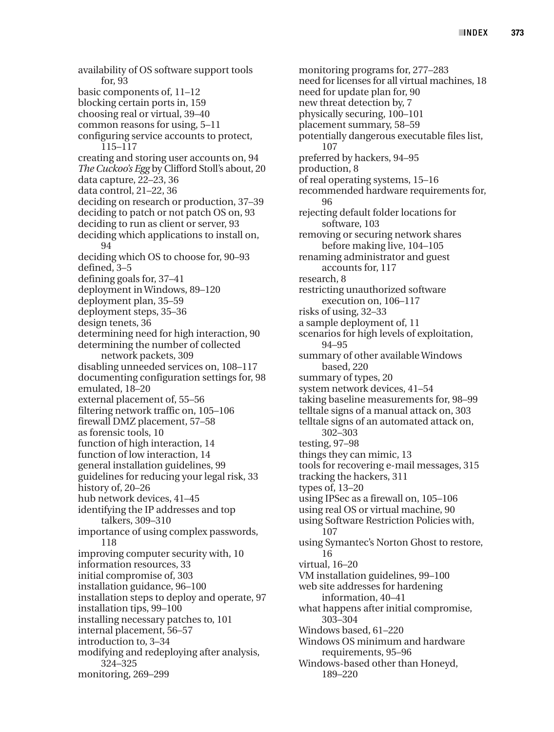availability of OS software support tools for, 93 basic components of, 11–12 blocking certain ports in, 159 choosing real or virtual, 39–40 common reasons for using, 5–11 configuring service accounts to protect, 115–117 creating and storing user accounts on, 94 *The Cuckoo's Egg* by Clifford Stoll's about, 20 data capture, 22–23, 36 data control, 21–22, 36 deciding on research or production, 37–39 deciding to patch or not patch OS on, 93 deciding to run as client or server, 93 deciding which applications to install on, 94 deciding which OS to choose for, 90–93 defined, 3–5 defining goals for, 37–41 deployment in Windows, 89–120 deployment plan, 35–59 deployment steps, 35–36 design tenets, 36 determining need for high interaction, 90 determining the number of collected network packets, 309 disabling unneeded services on, 108–117 documenting configuration settings for, 98 emulated, 18–20 external placement of, 55–56 filtering network traffic on, 105–106 firewall DMZ placement, 57–58 as forensic tools, 10 function of high interaction, 14 function of low interaction, 14 general installation guidelines, 99 guidelines for reducing your legal risk, 33 history of, 20–26 hub network devices, 41–45 identifying the IP addresses and top talkers, 309–310 importance of using complex passwords, 118 improving computer security with, 10 information resources, 33 initial compromise of, 303 installation guidance, 96–100 installation steps to deploy and operate, 97 installation tips, 99–100 installing necessary patches to, 101 internal placement, 56–57 introduction to, 3–34 modifying and redeploying after analysis, 324–325 monitoring, 269–299

monitoring programs for, 277–283 need for licenses for all virtual machines, 18 need for update plan for, 90 new threat detection by, 7 physically securing, 100–101 placement summary, 58–59 potentially dangerous executable files list, 107 preferred by hackers, 94–95 production, 8 of real operating systems, 15–16 recommended hardware requirements for, 96 rejecting default folder locations for software, 103 removing or securing network shares before making live, 104–105 renaming administrator and guest accounts for, 117 research, 8 restricting unauthorized software execution on, 106–117 risks of using, 32–33 a sample deployment of, 11 scenarios for high levels of exploitation, 94–95 summary of other available Windows based, 220 summary of types, 20 system network devices, 41–54 taking baseline measurements for, 98–99 telltale signs of a manual attack on, 303 telltale signs of an automated attack on, 302–303 testing, 97–98 things they can mimic, 13 tools for recovering e-mail messages, 315 tracking the hackers, 311 types of, 13–20 using IPSec as a firewall on, 105–106 using real OS or virtual machine, 90 using Software Restriction Policies with, 107 using Symantec's Norton Ghost to restore, 16 virtual, 16–20 VM installation guidelines, 99–100 web site addresses for hardening information, 40–41 what happens after initial compromise, 303–304 Windows based, 61–220 Windows OS minimum and hardware requirements, 95–96 Windows-based other than Honeyd, 189–220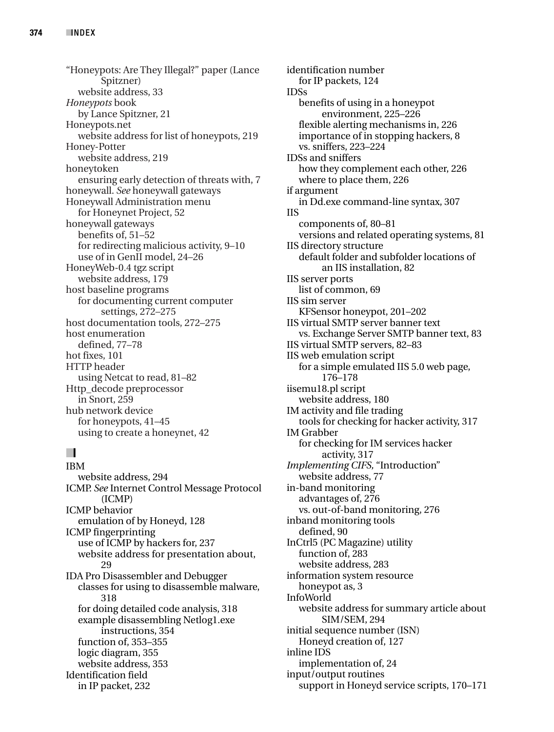"Honeypots: Are They Illegal?" paper (Lance Spitzner) website address, 33 *Honeypots* book by Lance Spitzner, 21 Honeypots.net website address for list of honeypots, 219 Honey-Potter website address, 219 honeytoken ensuring early detection of threats with, 7 honeywall. *See* honeywall gateways Honeywall Administration menu for Honeynet Project, 52 honeywall gateways benefits of, 51–52 for redirecting malicious activity, 9–10 use of in GenII model, 24–26 HoneyWeb-0.4 tgz script website address, 179 host baseline programs for documenting current computer settings, 272–275 host documentation tools, 272–275 host enumeration defined, 77–78 hot fixes, 101 HTTP header using Netcat to read, 81–82 Http\_decode preprocessor in Snort, 259 hub network device for honeypots, 41–45 using to create a honeynet, 42

# ■**I**

IBM website address, 294 ICMP. *See* Internet Control Message Protocol (ICMP) ICMP behavior emulation of by Honeyd, 128 ICMP fingerprinting use of ICMP by hackers for, 237 website address for presentation about, 29 IDA Pro Disassembler and Debugger classes for using to disassemble malware, 318 for doing detailed code analysis, 318 example disassembling Netlog1.exe instructions, 354 function of, 353–355 logic diagram, 355 website address, 353 Identification field in IP packet, 232

identification number for IP packets, 124 IDSs benefits of using in a honeypot environment, 225–226 flexible alerting mechanisms in, 226 importance of in stopping hackers, 8 vs. sniffers, 223–224 IDSs and sniffers how they complement each other, 226 where to place them, 226 if argument in Dd.exe command-line syntax, 307 IIS components of, 80–81 versions and related operating systems, 81 IIS directory structure default folder and subfolder locations of an IIS installation, 82 IIS server ports list of common, 69 IIS sim server KFSensor honeypot, 201–202 IIS virtual SMTP server banner text vs. Exchange Server SMTP banner text, 83 IIS virtual SMTP servers, 82–83 IIS web emulation script for a simple emulated IIS 5.0 web page, 176–178 iisemu18.pl script website address, 180 IM activity and file trading tools for checking for hacker activity, 317 IM Grabber for checking for IM services hacker activity, 317 *Implementing CIFS,* "Introduction" website address, 77 in-band monitoring advantages of, 276 vs. out-of-band monitoring, 276 inband monitoring tools defined, 90 InCtrl5 (PC Magazine) utility function of, 283 website address, 283 information system resource honeypot as, 3 InfoWorld website address for summary article about SIM/SEM, 294 initial sequence number (ISN) Honeyd creation of, 127 inline IDS implementation of, 24 input/output routines support in Honeyd service scripts, 170–171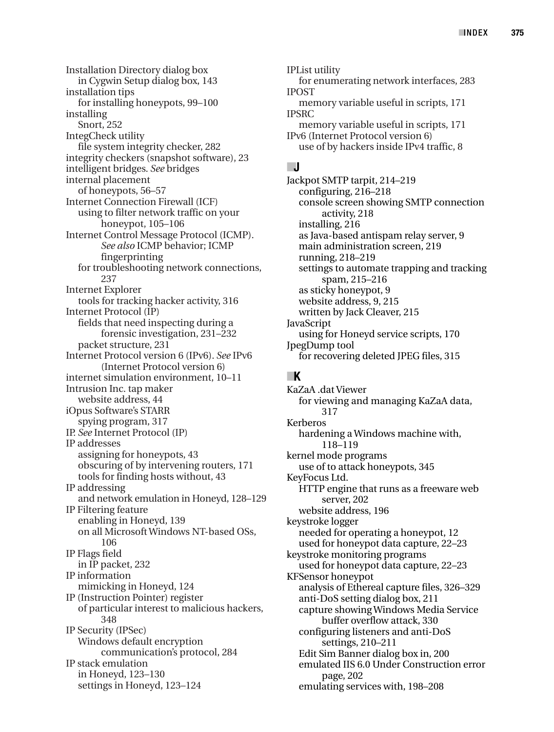Installation Directory dialog box in Cygwin Setup dialog box, 143 installation tips for installing honeypots, 99–100 installing Snort, 252 IntegCheck utility file system integrity checker, 282 integrity checkers (snapshot software), 23 intelligent bridges. *See* bridges internal placement of honeypots, 56–57 Internet Connection Firewall (ICF) using to filter network traffic on your honeypot, 105–106 Internet Control Message Protocol (ICMP). *See also* ICMP behavior; ICMP fingerprinting for troubleshooting network connections, 237 Internet Explorer tools for tracking hacker activity, 316 Internet Protocol (IP) fields that need inspecting during a forensic investigation, 231–232 packet structure, 231 Internet Protocol version 6 (IPv6). *See* IPv6 (Internet Protocol version 6) internet simulation environment, 10–11 Intrusion Inc. tap maker website address, 44 iOpus Software's STARR spying program, 317 IP. *See* Internet Protocol (IP) IP addresses assigning for honeypots, 43 obscuring of by intervening routers, 171 tools for finding hosts without, 43 IP addressing and network emulation in Honeyd, 128–129 IP Filtering feature enabling in Honeyd, 139 on all Microsoft Windows NT-based OSs, 106 IP Flags field in IP packet, 232 IP information mimicking in Honeyd, 124 IP (Instruction Pointer) register of particular interest to malicious hackers, 348 IP Security (IPSec) Windows default encryption communication's protocol, 284 IP stack emulation in Honeyd, 123–130 settings in Honeyd, 123–124

IPList utility for enumerating network interfaces, 283 IPOST memory variable useful in scripts, 171 IPSRC memory variable useful in scripts, 171 IPv6 (Internet Protocol version 6) use of by hackers inside IPv4 traffic, 8

# ■**J**

Jackpot SMTP tarpit, 214–219 configuring, 216–218 console screen showing SMTP connection activity, 218 installing, 216 as Java-based antispam relay server, 9 main administration screen, 219 running, 218–219 settings to automate trapping and tracking spam, 215–216 as sticky honeypot, 9 website address, 9, 215 written by Jack Cleaver, 215 JavaScript using for Honeyd service scripts, 170 JpegDump tool for recovering deleted JPEG files, 315

# ■**K**

KaZaA .dat Viewer for viewing and managing KaZaA data, 317 Kerberos hardening a Windows machine with, 118–119 kernel mode programs use of to attack honeypots, 345 KeyFocus Ltd. HTTP engine that runs as a freeware web server, 202 website address, 196 keystroke logger needed for operating a honeypot, 12 used for honeypot data capture, 22–23 keystroke monitoring programs used for honeypot data capture, 22–23 KFSensor honeypot analysis of Ethereal capture files, 326–329 anti-DoS setting dialog box, 211 capture showing Windows Media Service buffer overflow attack, 330 configuring listeners and anti-DoS settings, 210–211 Edit Sim Banner dialog box in, 200 emulated IIS 6.0 Under Construction error page, 202 emulating services with, 198–208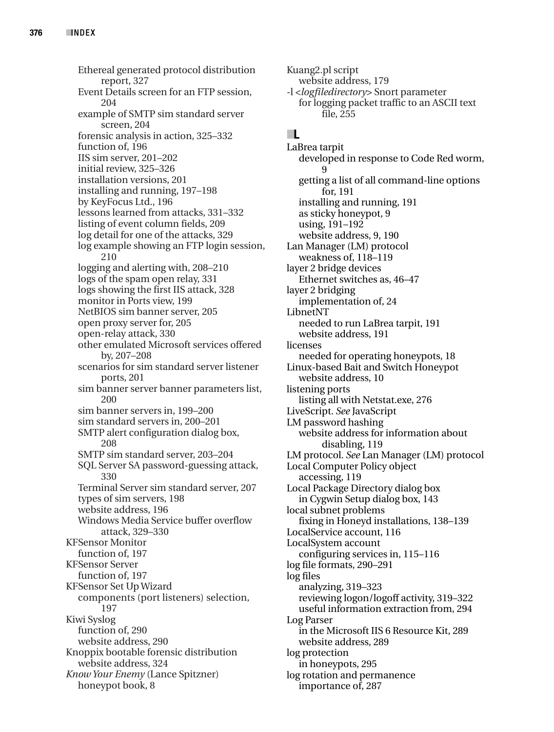Ethereal generated protocol distribution report, 327 Event Details screen for an FTP session, 204 example of SMTP sim standard server screen, 204 forensic analysis in action, 325–332 function of, 196 IIS sim server, 201–202 initial review, 325–326 installation versions, 201 installing and running, 197–198 by KeyFocus Ltd., 196 lessons learned from attacks, 331–332 listing of event column fields, 209 log detail for one of the attacks, 329 log example showing an FTP login session, 210 logging and alerting with, 208–210 logs of the spam open relay, 331 logs showing the first IIS attack, 328 monitor in Ports view, 199 NetBIOS sim banner server, 205 open proxy server for, 205 open-relay attack, 330 other emulated Microsoft services offered by, 207–208 scenarios for sim standard server listener ports, 201 sim banner server banner parameters list, 200 sim banner servers in, 199–200 sim standard servers in, 200–201 SMTP alert configuration dialog box, 208 SMTP sim standard server, 203–204 SQL Server SA password-guessing attack, 330 Terminal Server sim standard server, 207 types of sim servers, 198 website address, 196 Windows Media Service buffer overflow attack, 329–330 KFSensor Monitor function of, 197 KFSensor Server function of, 197 KFSensor Set Up Wizard components (port listeners) selection, 197 Kiwi Syslog function of, 290 website address, 290 Knoppix bootable forensic distribution website address, 324 *Know Your Enemy* (Lance Spitzner) honeypot book, 8

Kuang2.pl script website address, 179 -l <*logfiledirectory>* Snort parameter for logging packet traffic to an ASCII text file, 255

## ■**L**

LaBrea tarpit developed in response to Code Red worm, 9 getting a list of all command-line options for, 191 installing and running, 191 as sticky honeypot, 9 using, 191–192 website address, 9, 190 Lan Manager (LM) protocol weakness of, 118–119 layer 2 bridge devices Ethernet switches as, 46–47 layer 2 bridging implementation of, 24 LibnetNT needed to run LaBrea tarpit, 191 website address, 191 licenses needed for operating honeypots, 18 Linux-based Bait and Switch Honeypot website address, 10 listening ports listing all with Netstat.exe, 276 LiveScript. *See* JavaScript LM password hashing website address for information about disabling, 119 LM protocol. *See* Lan Manager (LM) protocol Local Computer Policy object accessing, 119 Local Package Directory dialog box in Cygwin Setup dialog box, 143 local subnet problems fixing in Honeyd installations, 138–139 LocalService account, 116 LocalSystem account configuring services in, 115–116 log file formats, 290–291 log files analyzing, 319–323 reviewing logon/logoff activity, 319–322 useful information extraction from, 294 Log Parser in the Microsoft IIS 6 Resource Kit, 289 website address, 289 log protection in honeypots, 295 log rotation and permanence importance of, 287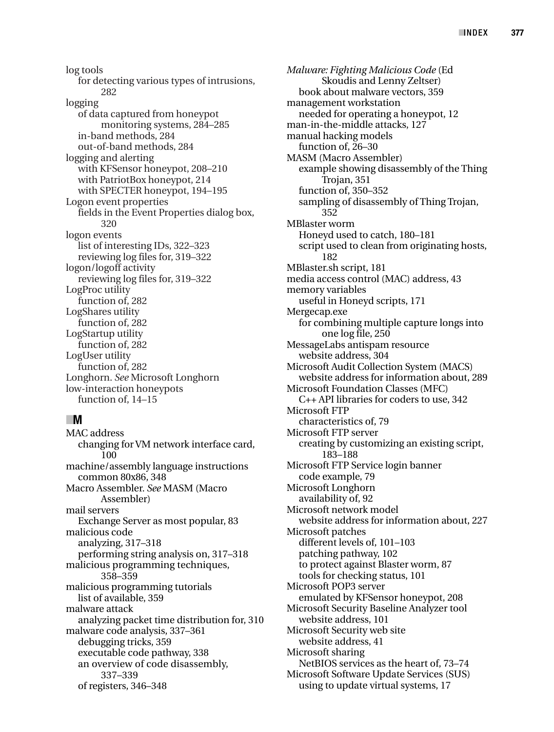log tools for detecting various types of intrusions, 282 logging of data captured from honeypot monitoring systems, 284–285 in-band methods, 284 out-of-band methods, 284 logging and alerting with KFSensor honeypot, 208–210 with PatriotBox honeypot, 214 with SPECTER honeypot, 194–195 Logon event properties fields in the Event Properties dialog box, 320 logon events list of interesting IDs, 322–323 reviewing log files for, 319–322 logon/logoff activity reviewing log files for, 319–322 LogProc utility function of, 282 LogShares utility function of, 282 LogStartup utility function of, 282 LogUser utility function of, 282 Longhorn. *See* Microsoft Longhorn low-interaction honeypots function of, 14–15

#### ■**M**

MAC address changing for VM network interface card, 100 machine/assembly language instructions common 80x86, 348 Macro Assembler. *See* MASM (Macro Assembler) mail servers Exchange Server as most popular, 83 malicious code analyzing, 317–318 performing string analysis on, 317–318 malicious programming techniques, 358–359 malicious programming tutorials list of available, 359 malware attack analyzing packet time distribution for, 310 malware code analysis, 337–361 debugging tricks, 359 executable code pathway, 338 an overview of code disassembly, 337–339 of registers, 346–348

*Malware: Fighting Malicious Code* (Ed Skoudis and Lenny Zeltser) book about malware vectors, 359 management workstation needed for operating a honeypot, 12 man-in-the-middle attacks, 127 manual hacking models function of, 26–30 MASM (Macro Assembler) example showing disassembly of the Thing Trojan, 351 function of, 350–352 sampling of disassembly of Thing Trojan, 352 MBlaster worm Honeyd used to catch, 180–181 script used to clean from originating hosts, 182 MBlaster.sh script, 181 media access control (MAC) address, 43 memory variables useful in Honeyd scripts, 171 Mergecap.exe for combining multiple capture longs into one log file, 250 MessageLabs antispam resource website address, 304 Microsoft Audit Collection System (MACS) website address for information about, 289 Microsoft Foundation Classes (MFC) C++ API libraries for coders to use, 342 Microsoft FTP characteristics of, 79 Microsoft FTP server creating by customizing an existing script, 183–188 Microsoft FTP Service login banner code example, 79 Microsoft Longhorn availability of, 92 Microsoft network model website address for information about, 227 Microsoft patches different levels of, 101–103 patching pathway, 102 to protect against Blaster worm, 87 tools for checking status, 101 Microsoft POP3 server emulated by KFSensor honeypot, 208 Microsoft Security Baseline Analyzer tool website address, 101 Microsoft Security web site website address, 41 Microsoft sharing NetBIOS services as the heart of, 73–74 Microsoft Software Update Services (SUS) using to update virtual systems, 17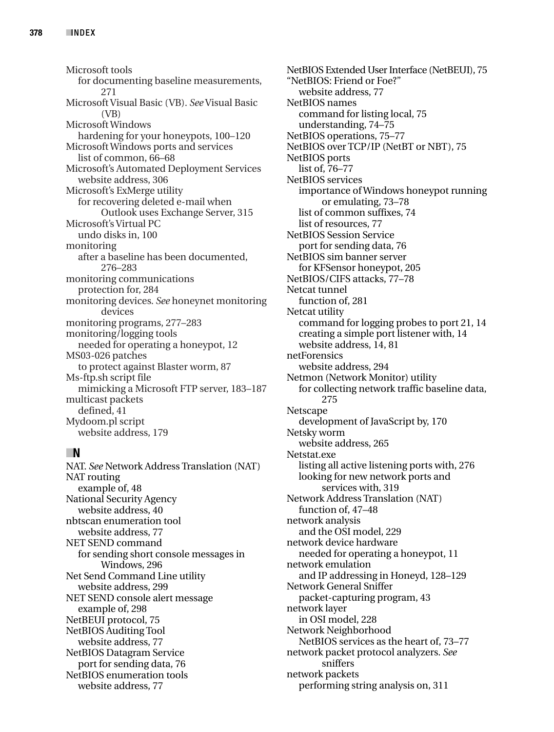Microsoft tools for documenting baseline measurements, 271 Microsoft Visual Basic (VB). *See*Visual Basic (VB) Microsoft Windows hardening for your honeypots, 100–120 Microsoft Windows ports and services list of common, 66–68 Microsoft's Automated Deployment Services website address, 306 Microsoft's ExMerge utility for recovering deleted e-mail when Outlook uses Exchange Server, 315 Microsoft's Virtual PC undo disks in, 100 monitoring after a baseline has been documented, 276–283 monitoring communications protection for, 284 monitoring devices. *See* honeynet monitoring devices monitoring programs, 277–283 monitoring/logging tools needed for operating a honeypot, 12 MS03-026 patches to protect against Blaster worm, 87 Ms-ftp.sh script file mimicking a Microsoft FTP server, 183–187 multicast packets defined, 41 Mydoom.pl script website address, 179

# ■**N**

NAT. *See* Network Address Translation (NAT) NAT routing example of, 48 National Security Agency website address, 40 nbtscan enumeration tool website address, 77 NET SEND command for sending short console messages in Windows, 296 Net Send Command Line utility website address, 299 NET SEND console alert message example of, 298 NetBEUI protocol, 75 NetBIOS Auditing Tool website address, 77 NetBIOS Datagram Service port for sending data, 76 NetBIOS enumeration tools website address, 77

NetBIOS Extended User Interface (NetBEUI), 75 "NetBIOS: Friend or Foe?" website address, 77 NetBIOS names command for listing local, 75 understanding, 74–75 NetBIOS operations, 75–77 NetBIOS over TCP/IP (NetBT or NBT), 75 NetBIOS ports list of, 76–77 NetBIOS services importance of Windows honeypot running or emulating, 73–78 list of common suffixes, 74 list of resources, 77 NetBIOS Session Service port for sending data, 76 NetBIOS sim banner server for KFSensor honeypot, 205 NetBIOS/CIFS attacks, 77–78 Netcat tunnel function of, 281 Netcat utility command for logging probes to port 21, 14 creating a simple port listener with, 14 website address, 14, 81 netForensics website address, 294 Netmon (Network Monitor) utility for collecting network traffic baseline data, 275 Netscape development of JavaScript by, 170 Netsky worm website address, 265 Netstat.exe listing all active listening ports with, 276 looking for new network ports and services with, 319 Network Address Translation (NAT) function of, 47–48 network analysis and the OSI model, 229 network device hardware needed for operating a honeypot, 11 network emulation and IP addressing in Honeyd, 128–129 Network General Sniffer packet-capturing program, 43 network layer in OSI model, 228 Network Neighborhood NetBIOS services as the heart of, 73–77 network packet protocol analyzers. *See* sniffers network packets performing string analysis on, 311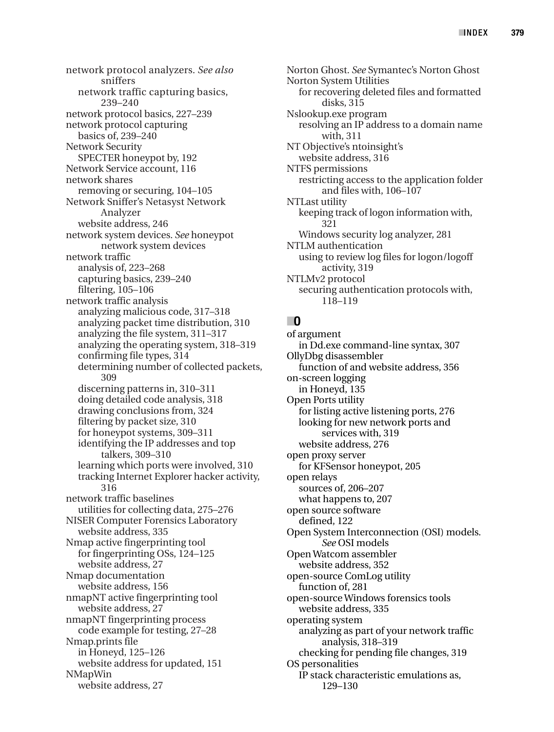network protocol analyzers. *See also* sniffers network traffic capturing basics, 239–240 network protocol basics, 227–239 network protocol capturing basics of, 239–240 Network Security SPECTER honeypot by, 192 Network Service account, 116 network shares removing or securing, 104–105 Network Sniffer's Netasyst Network Analyzer website address, 246 network system devices. *See* honeypot network system devices network traffic analysis of, 223–268 capturing basics, 239–240 filtering, 105–106 network traffic analysis analyzing malicious code, 317–318 analyzing packet time distribution, 310 analyzing the file system, 311–317 analyzing the operating system, 318–319 confirming file types, 314 determining number of collected packets, 309 discerning patterns in, 310–311 doing detailed code analysis, 318 drawing conclusions from, 324 filtering by packet size, 310 for honeypot systems, 309–311 identifying the IP addresses and top talkers, 309–310 learning which ports were involved, 310 tracking Internet Explorer hacker activity, 316 network traffic baselines utilities for collecting data, 275–276 NISER Computer Forensics Laboratory website address, 335 Nmap active fingerprinting tool for fingerprinting OSs, 124–125 website address, 27 Nmap documentation website address, 156 nmapNT active fingerprinting tool website address, 27 nmapNT fingerprinting process code example for testing, 27–28 Nmap.prints file in Honeyd, 125–126 website address for updated, 151 NMapWin website address, 27

Norton Ghost. *See* Symantec's Norton Ghost Norton System Utilities for recovering deleted files and formatted disks, 315 Nslookup.exe program resolving an IP address to a domain name with, 311 NT Objective's ntoinsight's website address, 316 NTFS permissions restricting access to the application folder and files with, 106–107 NTLast utility keeping track of logon information with, 321 Windows security log analyzer, 281 NTLM authentication using to review log files for logon/logoff activity, 319 NTLMv2 protocol securing authentication protocols with, 118–119

## ■**O**

of argument in Dd.exe command-line syntax, 307 OllyDbg disassembler function of and website address, 356 on-screen logging in Honeyd, 135 Open Ports utility for listing active listening ports, 276 looking for new network ports and services with, 319 website address, 276 open proxy server for KFSensor honeypot, 205 open relays sources of, 206–207 what happens to, 207 open source software defined, 122 Open System Interconnection (OSI) models. *See* OSI models Open Watcom assembler website address, 352 open-source ComLog utility function of, 281 open-source Windows forensics tools website address, 335 operating system analyzing as part of your network traffic analysis, 318–319 checking for pending file changes, 319 OS personalities IP stack characteristic emulations as, 129–130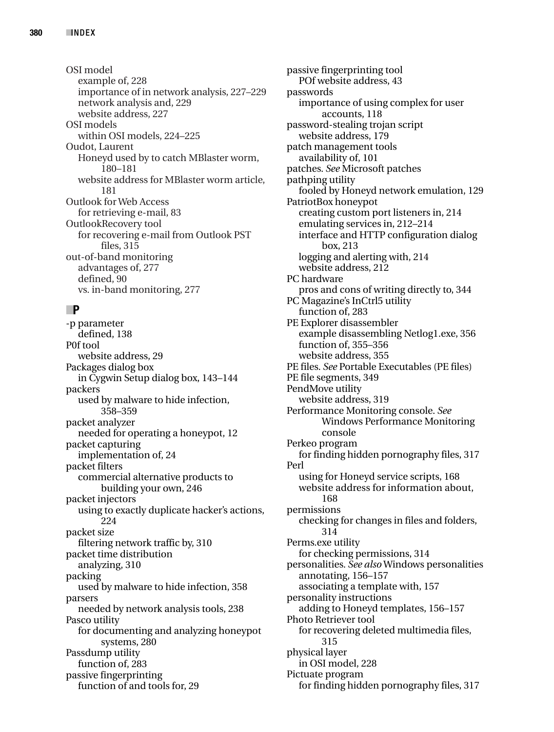OSI model example of, 228 importance of in network analysis, 227–229 network analysis and, 229 website address, 227 OSI models within OSI models, 224–225 Oudot, Laurent Honeyd used by to catch MBlaster worm, 180–181 website address for MBlaster worm article, 181 Outlook for Web Access for retrieving e-mail, 83 OutlookRecovery tool for recovering e-mail from Outlook PST files, 315 out-of-band monitoring advantages of, 277 defined, 90 vs. in-band monitoring, 277

## ■**P**

-p parameter defined, 138 P0f tool website address, 29 Packages dialog box in Cygwin Setup dialog box, 143–144 packers used by malware to hide infection, 358–359 packet analyzer needed for operating a honeypot, 12 packet capturing implementation of, 24 packet filters commercial alternative products to building your own, 246 packet injectors using to exactly duplicate hacker's actions, 224 packet size filtering network traffic by, 310 packet time distribution analyzing, 310 packing used by malware to hide infection, 358 parsers needed by network analysis tools, 238 Pasco utility for documenting and analyzing honeypot systems, 280 Passdump utility function of, 283 passive fingerprinting function of and tools for, 29

passive fingerprinting tool POf website address, 43 passwords importance of using complex for user accounts, 118 password-stealing trojan script website address, 179 patch management tools availability of, 101 patches. *See* Microsoft patches pathping utility fooled by Honeyd network emulation, 129 PatriotBox honeypot creating custom port listeners in, 214 emulating services in, 212–214 interface and HTTP configuration dialog box, 213 logging and alerting with, 214 website address, 212 PC hardware pros and cons of writing directly to, 344 PC Magazine's InCtrl5 utility function of, 283 PE Explorer disassembler example disassembling Netlog1.exe, 356 function of, 355–356 website address, 355 PE files. *See* Portable Executables (PE files) PE file segments, 349 PendMove utility website address, 319 Performance Monitoring console. *See* Windows Performance Monitoring console Perkeo program for finding hidden pornography files, 317 Perl using for Honeyd service scripts, 168 website address for information about, 168 permissions checking for changes in files and folders, 314 Perms.exe utility for checking permissions, 314 personalities. *See also*Windows personalities annotating, 156–157 associating a template with, 157 personality instructions adding to Honeyd templates, 156–157 Photo Retriever tool for recovering deleted multimedia files, 315 physical layer in OSI model, 228 Pictuate program for finding hidden pornography files, 317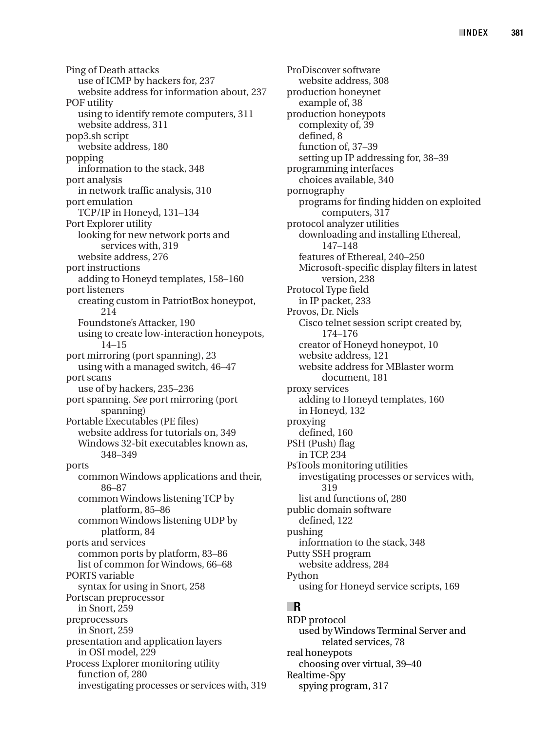Ping of Death attacks use of ICMP by hackers for, 237 website address for information about, 237 POF utility using to identify remote computers, 311 website address, 311 pop3.sh script website address, 180 popping information to the stack, 348 port analysis in network traffic analysis, 310 port emulation TCP/IP in Honeyd, 131–134 Port Explorer utility looking for new network ports and services with, 319 website address, 276 port instructions adding to Honeyd templates, 158–160 port listeners creating custom in PatriotBox honeypot, 214 Foundstone's Attacker, 190 using to create low-interaction honeypots, 14–15 port mirroring (port spanning), 23 using with a managed switch, 46–47 port scans use of by hackers, 235–236 port spanning. *See* port mirroring (port spanning) Portable Executables (PE files) website address for tutorials on, 349 Windows 32-bit executables known as, 348–349 ports common Windows applications and their, 86–87 common Windows listening TCP by platform, 85–86 common Windows listening UDP by platform, 84 ports and services common ports by platform, 83–86 list of common for Windows, 66–68 PORTS variable syntax for using in Snort, 258 Portscan preprocessor in Snort, 259 preprocessors in Snort, 259 presentation and application layers in OSI model, 229 Process Explorer monitoring utility function of, 280 investigating processes or services with, 319

ProDiscover software website address, 308 production honeynet example of, 38 production honeypots complexity of, 39 defined, 8 function of, 37–39 setting up IP addressing for, 38–39 programming interfaces choices available, 340 pornography programs for finding hidden on exploited computers, 317 protocol analyzer utilities downloading and installing Ethereal, 147–148 features of Ethereal, 240–250 Microsoft-specific display filters in latest version, 238 Protocol Type field in IP packet, 233 Provos, Dr. Niels Cisco telnet session script created by, 174–176 creator of Honeyd honeypot, 10 website address, 121 website address for MBlaster worm document, 181 proxy services adding to Honeyd templates, 160 in Honeyd, 132 proxying defined, 160 PSH (Push) flag in TCP, 234 PsTools monitoring utilities investigating processes or services with, 319 list and functions of, 280 public domain software defined, 122 pushing information to the stack, 348 Putty SSH program website address, 284 Python using for Honeyd service scripts, 169

## ■**R**

RDP protocol used by Windows Terminal Server and related services, 78 real honeypots choosing over virtual, 39–40 Realtime-Spy spying program, 317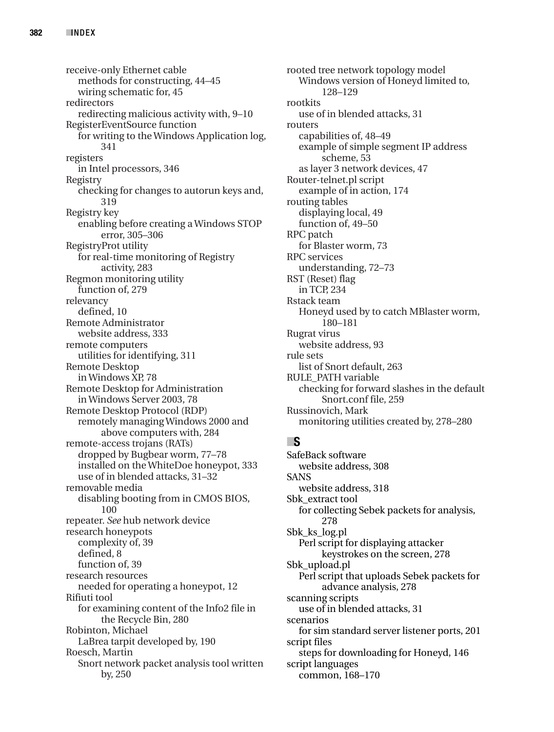receive-only Ethernet cable methods for constructing, 44–45 wiring schematic for, 45 redirectors redirecting malicious activity with, 9–10 RegisterEventSource function for writing to the Windows Application log, 341 registers in Intel processors, 346 Registry checking for changes to autorun keys and, 319 Registry key enabling before creating a Windows STOP error, 305–306 RegistryProt utility for real-time monitoring of Registry activity, 283 Regmon monitoring utility function of, 279 relevancy defined, 10 Remote Administrator website address, 333 remote computers utilities for identifying, 311 Remote Desktop in Windows XP, 78 Remote Desktop for Administration in Windows Server 2003, 78 Remote Desktop Protocol (RDP) remotely managing Windows 2000 and above computers with, 284 remote-access trojans (RATs) dropped by Bugbear worm, 77–78 installed on the WhiteDoe honeypot, 333 use of in blended attacks, 31–32 removable media disabling booting from in CMOS BIOS, 100 repeater. *See* hub network device research honeypots complexity of, 39 defined, 8 function of, 39 research resources needed for operating a honeypot, 12 Rifiuti tool for examining content of the Info2 file in the Recycle Bin, 280 Robinton, Michael LaBrea tarpit developed by, 190 Roesch, Martin Snort network packet analysis tool written by, 250

rooted tree network topology model Windows version of Honeyd limited to, 128–129 rootkits use of in blended attacks, 31 routers capabilities of, 48–49 example of simple segment IP address scheme, 53 as layer 3 network devices, 47 Router-telnet.pl script example of in action, 174 routing tables displaying local, 49 function of, 49–50 RPC patch for Blaster worm, 73 RPC services understanding, 72–73 RST (Reset) flag in TCP, 234 Rstack team Honeyd used by to catch MBlaster worm, 180–181 Rugrat virus website address, 93 rule sets list of Snort default, 263 RULE\_PATH variable checking for forward slashes in the default Snort.conf file, 259 Russinovich, Mark monitoring utilities created by, 278–280

## ■**S**

SafeBack software website address, 308 SANS website address, 318 Sbk\_extract tool for collecting Sebek packets for analysis, 278 Sbk\_ks\_log.pl Perl script for displaying attacker keystrokes on the screen, 278 Sbk\_upload.pl Perl script that uploads Sebek packets for advance analysis, 278 scanning scripts use of in blended attacks, 31 scenarios for sim standard server listener ports, 201 script files steps for downloading for Honeyd, 146 script languages common, 168–170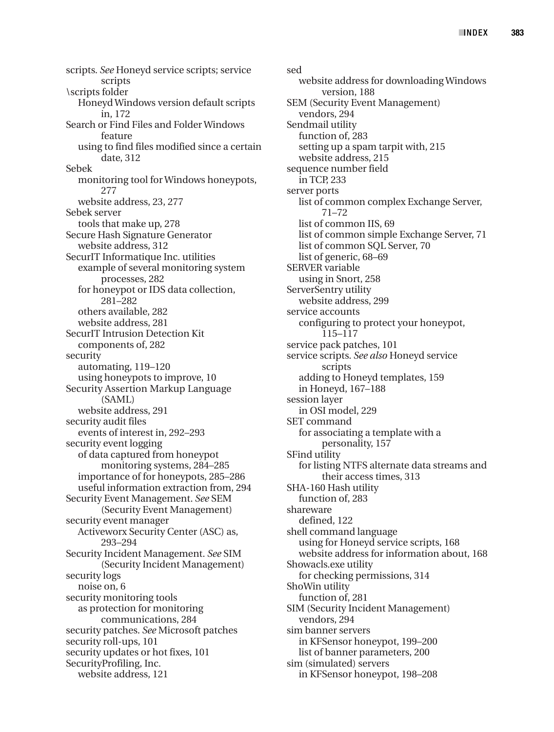scripts. *See* Honeyd service scripts; service scripts \scripts folder Honeyd Windows version default scripts in, 172 Search or Find Files and Folder Windows feature using to find files modified since a certain date, 312 Sebek monitoring tool for Windows honeypots, 277 website address, 23, 277 Sebek server tools that make up, 278 Secure Hash Signature Generator website address, 312 SecurIT Informatique Inc. utilities example of several monitoring system processes, 282 for honeypot or IDS data collection, 281–282 others available, 282 website address, 281 SecurIT Intrusion Detection Kit components of, 282 security automating, 119–120 using honeypots to improve, 10 Security Assertion Markup Language (SAML) website address, 291 security audit files events of interest in, 292–293 security event logging of data captured from honeypot monitoring systems, 284–285 importance of for honeypots, 285–286 useful information extraction from, 294 Security Event Management. *See* SEM (Security Event Management) security event manager Activeworx Security Center (ASC) as, 293–294 Security Incident Management. *See* SIM (Security Incident Management) security logs noise on, 6 security monitoring tools as protection for monitoring communications, 284 security patches. *See* Microsoft patches security roll-ups, 101 security updates or hot fixes, 101 SecurityProfiling, Inc. website address, 121

sed website address for downloading Windows version, 188 SEM (Security Event Management) vendors, 294 Sendmail utility function of, 283 setting up a spam tarpit with, 215 website address, 215 sequence number field in TCP, 233 server ports list of common complex Exchange Server, 71–72 list of common IIS, 69 list of common simple Exchange Server, 71 list of common SQL Server, 70 list of generic, 68–69 SERVER variable using in Snort, 258 ServerSentry utility website address, 299 service accounts configuring to protect your honeypot, 115–117 service pack patches, 101 service scripts. *See also* Honeyd service scripts adding to Honeyd templates, 159 in Honeyd, 167–188 session layer in OSI model, 229 SET command for associating a template with a personality, 157 SFind utility for listing NTFS alternate data streams and their access times, 313 SHA-160 Hash utility function of, 283 shareware defined, 122 shell command language using for Honeyd service scripts, 168 website address for information about, 168 Showacls.exe utility for checking permissions, 314 ShoWin utility function of, 281 SIM (Security Incident Management) vendors, 294 sim banner servers in KFSensor honeypot, 199–200 list of banner parameters, 200 sim (simulated) servers in KFSensor honeypot, 198–208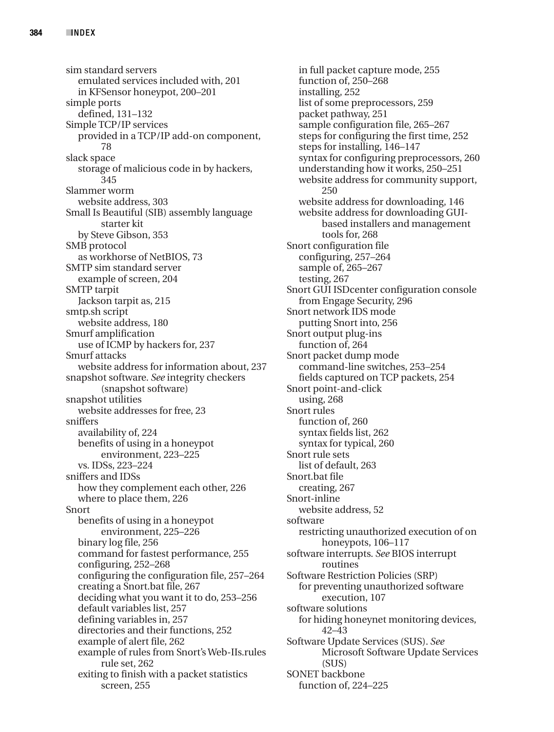sim standard servers emulated services included with, 201 in KFSensor honeypot, 200–201 simple ports defined, 131–132 Simple TCP/IP services provided in a TCP/IP add-on component, 78 slack space storage of malicious code in by hackers, 345 Slammer worm website address, 303 Small Is Beautiful (SIB) assembly language starter kit by Steve Gibson, 353 SMB protocol as workhorse of NetBIOS, 73 SMTP sim standard server example of screen, 204 SMTP tarpit Jackson tarpit as, 215 smtp.sh script website address, 180 Smurf amplification use of ICMP by hackers for, 237 Smurf attacks website address for information about, 237 snapshot software. *See* integrity checkers (snapshot software) snapshot utilities website addresses for free, 23 sniffers availability of, 224 benefits of using in a honeypot environment, 223–225 vs. IDSs, 223–224 sniffers and IDSs how they complement each other, 226 where to place them, 226 Snort benefits of using in a honeypot environment, 225–226 binary log file, 256 command for fastest performance, 255 configuring, 252–268 configuring the configuration file, 257–264 creating a Snort.bat file, 267 deciding what you want it to do, 253–256 default variables list, 257 defining variables in, 257 directories and their functions, 252 example of alert file, 262 example of rules from Snort's Web-IIs.rules rule set, 262 exiting to finish with a packet statistics screen, 255

in full packet capture mode, 255 function of, 250–268 installing, 252 list of some preprocessors, 259 packet pathway, 251 sample configuration file, 265–267 steps for configuring the first time, 252 steps for installing, 146–147 syntax for configuring preprocessors, 260 understanding how it works, 250–251 website address for community support, 250 website address for downloading, 146 website address for downloading GUIbased installers and management tools for, 268 Snort configuration file configuring, 257–264 sample of, 265–267 testing, 267 Snort GUI ISDcenter configuration console from Engage Security, 296 Snort network IDS mode putting Snort into, 256 Snort output plug-ins function of, 264 Snort packet dump mode command-line switches, 253–254 fields captured on TCP packets, 254 Snort point-and-click using, 268 Snort rules function of, 260 syntax fields list, 262 syntax for typical, 260 Snort rule sets list of default, 263 Snort.bat file creating, 267 Snort-inline website address, 52 software restricting unauthorized execution of on honeypots, 106–117 software interrupts. *See* BIOS interrupt routines Software Restriction Policies (SRP) for preventing unauthorized software execution, 107 software solutions for hiding honeynet monitoring devices, 42–43 Software Update Services (SUS). *See* Microsoft Software Update Services (SUS) SONET backbone function of, 224–225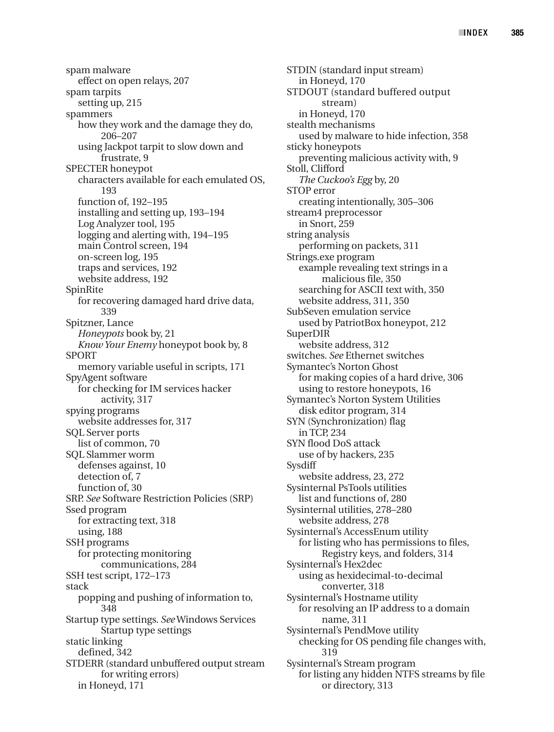spam malware effect on open relays, 207 spam tarpits setting up, 215 spammers how they work and the damage they do, 206–207 using Jackpot tarpit to slow down and frustrate, 9 SPECTER honeypot characters available for each emulated OS, 193 function of, 192–195 installing and setting up, 193–194 Log Analyzer tool, 195 logging and alerting with, 194–195 main Control screen, 194 on-screen log, 195 traps and services, 192 website address, 192 SpinRite for recovering damaged hard drive data, 339 Spitzner, Lance *Honeypots* book by, 21 *Know Your Enemy* honeypot book by, 8 SPORT memory variable useful in scripts, 171 SpyAgent software for checking for IM services hacker activity, 317 spying programs website addresses for, 317 SQL Server ports list of common, 70 SQL Slammer worm defenses against, 10 detection of, 7 function of, 30 SRP. *See* Software Restriction Policies (SRP) Ssed program for extracting text, 318 using, 188 SSH programs for protecting monitoring communications, 284 SSH test script, 172–173 stack popping and pushing of information to, 348 Startup type settings. *See*Windows Services Startup type settings static linking defined, 342 STDERR (standard unbuffered output stream for writing errors) in Honeyd, 171

STDIN (standard input stream) in Honeyd, 170 STDOUT (standard buffered output stream) in Honeyd, 170 stealth mechanisms used by malware to hide infection, 358 sticky honeypots preventing malicious activity with, 9 Stoll, Clifford *The Cuckoo's Egg* by, 20 STOP error creating intentionally, 305–306 stream4 preprocessor in Snort, 259 string analysis performing on packets, 311 Strings.exe program example revealing text strings in a malicious file, 350 searching for ASCII text with, 350 website address, 311, 350 SubSeven emulation service used by PatriotBox honeypot, 212 SuperDIR website address, 312 switches. *See* Ethernet switches Symantec's Norton Ghost for making copies of a hard drive, 306 using to restore honeypots, 16 Symantec's Norton System Utilities disk editor program, 314 SYN (Synchronization) flag in TCP, 234 SYN flood DoS attack use of by hackers, 235 **Sysdiff** website address, 23, 272 Sysinternal PsTools utilities list and functions of, 280 Sysinternal utilities, 278–280 website address, 278 Sysinternal's AccessEnum utility for listing who has permissions to files, Registry keys, and folders, 314 Sysinternal's Hex2dec using as hexidecimal-to-decimal converter, 318 Sysinternal's Hostname utility for resolving an IP address to a domain name, 311 Sysinternal's PendMove utility checking for OS pending file changes with, 319 Sysinternal's Stream program for listing any hidden NTFS streams by file or directory, 313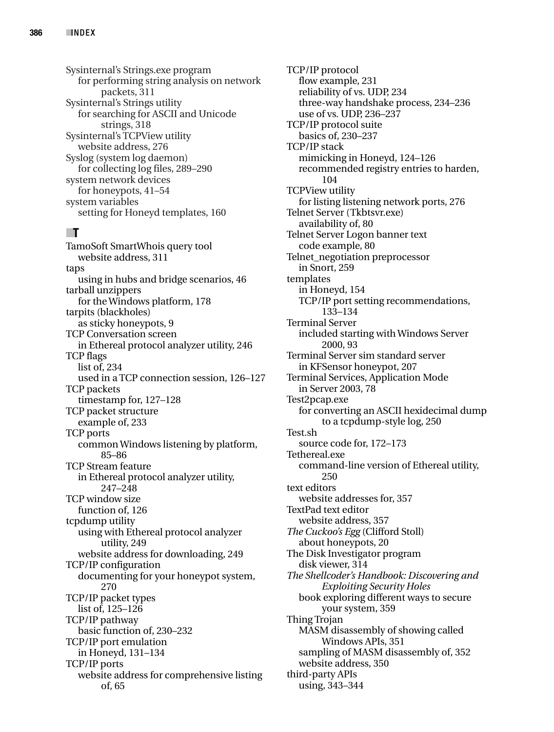Sysinternal's Strings.exe program for performing string analysis on network packets, 311 Sysinternal's Strings utility for searching for ASCII and Unicode strings, 318 Sysinternal's TCPView utility website address, 276 Syslog (system log daemon) for collecting log files, 289–290 system network devices for honeypots, 41–54 system variables setting for Honeyd templates, 160

# ■**T**

TamoSoft SmartWhois query tool website address, 311 taps using in hubs and bridge scenarios, 46 tarball unzippers for the Windows platform, 178 tarpits (blackholes) as sticky honeypots, 9 TCP Conversation screen in Ethereal protocol analyzer utility, 246 TCP flags list of, 234 used in a TCP connection session, 126–127 TCP packets timestamp for, 127–128 TCP packet structure example of, 233 TCP ports common Windows listening by platform, 85–86 TCP Stream feature in Ethereal protocol analyzer utility, 247–248 TCP window size function of, 126 tcpdump utility using with Ethereal protocol analyzer utility, 249 website address for downloading, 249 TCP/IP configuration documenting for your honeypot system, 270 TCP/IP packet types list of, 125–126 TCP/IP pathway basic function of, 230–232 TCP/IP port emulation in Honeyd, 131–134 TCP/IP ports website address for comprehensive listing of, 65

TCP/IP protocol flow example, 231 reliability of vs. UDP, 234 three-way handshake process, 234–236 use of vs. UDP, 236–237 TCP/IP protocol suite basics of, 230–237 TCP/IP stack mimicking in Honeyd, 124–126 recommended registry entries to harden, 104 TCPView utility for listing listening network ports, 276 Telnet Server (Tkbtsvr.exe) availability of, 80 Telnet Server Logon banner text code example, 80 Telnet\_negotiation preprocessor in Snort, 259 templates in Honeyd, 154 TCP/IP port setting recommendations, 133–134 Terminal Server included starting with Windows Server 2000, 93 Terminal Server sim standard server in KFSensor honeypot, 207 Terminal Services, Application Mode in Server 2003, 78 Test2pcap.exe for converting an ASCII hexidecimal dump to a tcpdump-style log, 250 Test.sh source code for, 172–173 Tethereal.exe command-line version of Ethereal utility, 250 text editors website addresses for, 357 TextPad text editor website address, 357 *The Cuckoo's Egg* (Clifford Stoll) about honeypots, 20 The Disk Investigator program disk viewer, 314 *The Shellcoder's Handbook: Discovering and Exploiting Security Holes* book exploring different ways to secure your system, 359 Thing Trojan MASM disassembly of showing called Windows APIs, 351 sampling of MASM disassembly of, 352 website address, 350 third-party APIs using, 343–344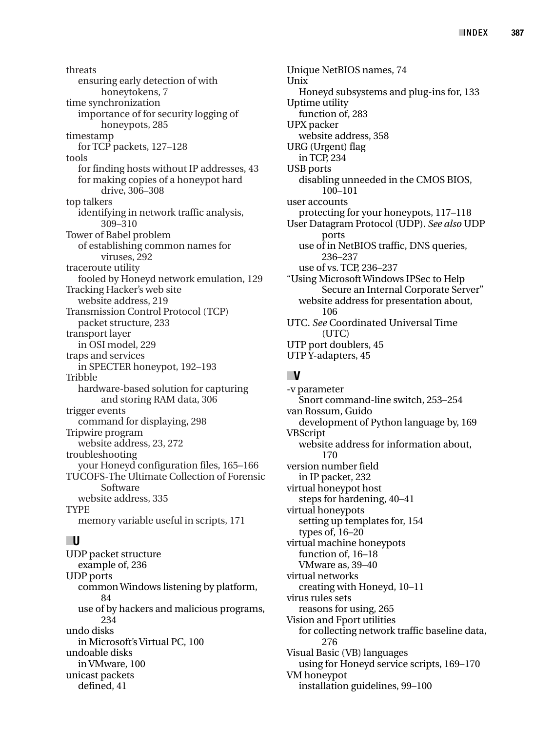threats ensuring early detection of with honeytokens, 7 time synchronization importance of for security logging of honeypots, 285 timestamp for TCP packets, 127–128 tools for finding hosts without IP addresses, 43 for making copies of a honeypot hard drive, 306–308 top talkers identifying in network traffic analysis, 309–310 Tower of Babel problem of establishing common names for viruses, 292 traceroute utility fooled by Honeyd network emulation, 129 Tracking Hacker's web site website address, 219 Transmission Control Protocol (TCP) packet structure, 233 transport layer in OSI model, 229 traps and services in SPECTER honeypot, 192–193 Tribble hardware-based solution for capturing and storing RAM data, 306 trigger events command for displaying, 298 Tripwire program website address, 23, 272 troubleshooting your Honeyd configuration files, 165–166 TUCOFS-The Ultimate Collection of Forensic Software website address, 335 TYPE memory variable useful in scripts, 171

# ■**U**

UDP packet structure example of, 236 UDP ports common Windows listening by platform, 84 use of by hackers and malicious programs, 234 undo disks in Microsoft's Virtual PC, 100 undoable disks in VMware, 100 unicast packets defined, 41

Unique NetBIOS names, 74 Unix Honeyd subsystems and plug-ins for, 133 Uptime utility function of, 283 UPX packer website address, 358 URG (Urgent) flag in TCP, 234 USB ports disabling unneeded in the CMOS BIOS, 100–101 user accounts protecting for your honeypots, 117–118 User Datagram Protocol (UDP). *See also* UDP ports use of in NetBIOS traffic, DNS queries, 236–237 use of vs. TCP, 236–237 "Using Microsoft Windows IPSec to Help Secure an Internal Corporate Server" website address for presentation about, 106 UTC. *See* Coordinated Universal Time (UTC) UTP port doublers, 45 UTP Y-adapters, 45

# ■**V**

-v parameter Snort command-line switch, 253–254 van Rossum, Guido development of Python language by, 169 VBScript website address for information about, 170 version number field in IP packet, 232 virtual honeypot host steps for hardening, 40–41 virtual honeypots setting up templates for, 154 types of, 16–20 virtual machine honeypots function of, 16–18 VMware as, 39–40 virtual networks creating with Honeyd, 10–11 virus rules sets reasons for using, 265 Vision and Fport utilities for collecting network traffic baseline data, 276 Visual Basic (VB) languages using for Honeyd service scripts, 169–170 VM honeypot installation guidelines, 99–100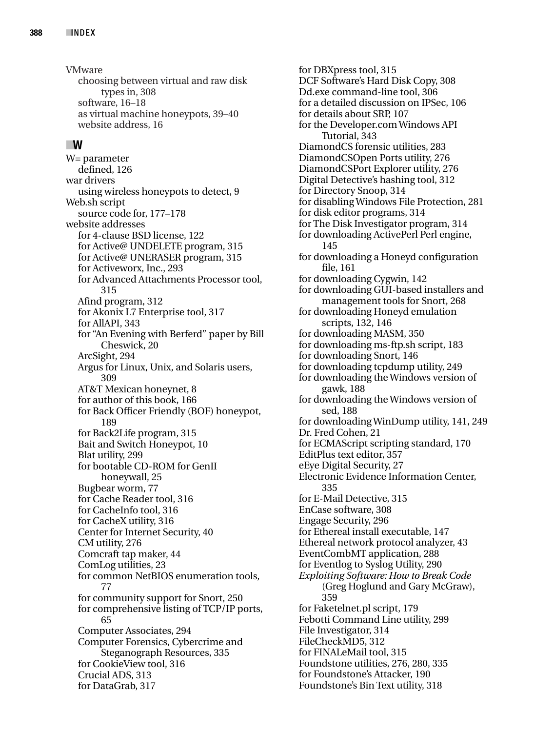VMware choosing between virtual and raw disk types in, 308 software, 16–18 as virtual machine honeypots, 39–40 website address, 16

#### ■**W**

W= parameter defined, 126 war drivers using wireless honeypots to detect, 9 Web.sh script source code for, 177–178 website addresses for 4-clause BSD license, 122 for Active@ UNDELETE program, 315 for Active@ UNERASER program, 315 for Activeworx, Inc., 293 for Advanced Attachments Processor tool, 315 Afind program, 312 for Akonix L7 Enterprise tool, 317 for AllAPI, 343 for "An Evening with Berferd" paper by Bill Cheswick, 20 ArcSight, 294 Argus for Linux, Unix, and Solaris users, 309 AT&T Mexican honeynet, 8 for author of this book, 166 for Back Officer Friendly (BOF) honeypot, 189 for Back2Life program, 315 Bait and Switch Honeypot, 10 Blat utility, 299 for bootable CD-ROM for GenII honeywall, 25 Bugbear worm, 77 for Cache Reader tool, 316 for CacheInfo tool, 316 for CacheX utility, 316 Center for Internet Security, 40 CM utility, 276 Comcraft tap maker, 44 ComLog utilities, 23 for common NetBIOS enumeration tools, 77 for community support for Snort, 250 for comprehensive listing of TCP/IP ports, 65 Computer Associates, 294 Computer Forensics, Cybercrime and Steganograph Resources, 335 for CookieView tool, 316 Crucial ADS, 313 for DataGrab, 317

for DBXpress tool, 315 DCF Software's Hard Disk Copy, 308 Dd.exe command-line tool, 306 for a detailed discussion on IPSec, 106 for details about SRP, 107 for the Developer.com Windows API Tutorial, 343 DiamondCS forensic utilities, 283 DiamondCSOpen Ports utility, 276 DiamondCSPort Explorer utility, 276 Digital Detective's hashing tool, 312 for Directory Snoop, 314 for disabling Windows File Protection, 281 for disk editor programs, 314 for The Disk Investigator program, 314 for downloading ActivePerl Perl engine, 145 for downloading a Honeyd configuration file, 161 for downloading Cygwin, 142 for downloading GUI-based installers and management tools for Snort, 268 for downloading Honeyd emulation scripts, 132, 146 for downloading MASM, 350 for downloading ms-ftp.sh script, 183 for downloading Snort, 146 for downloading tcpdump utility, 249 for downloading the Windows version of gawk, 188 for downloading the Windows version of sed, 188 for downloading WinDump utility, 141, 249 Dr. Fred Cohen, 21 for ECMAScript scripting standard, 170 EditPlus text editor, 357 eEye Digital Security, 27 Electronic Evidence Information Center, 335 for E-Mail Detective, 315 EnCase software, 308 Engage Security, 296 for Ethereal install executable, 147 Ethereal network protocol analyzer, 43 EventCombMT application, 288 for Eventlog to Syslog Utility, 290 *Exploiting Software: How to Break Code* (Greg Hoglund and Gary McGraw), 359 for Faketelnet.pl script, 179 Febotti Command Line utility, 299 File Investigator, 314 FileCheckMD5, 312 for FINALeMail tool, 315 Foundstone utilities, 276, 280, 335 for Foundstone's Attacker, 190 Foundstone's Bin Text utility, 318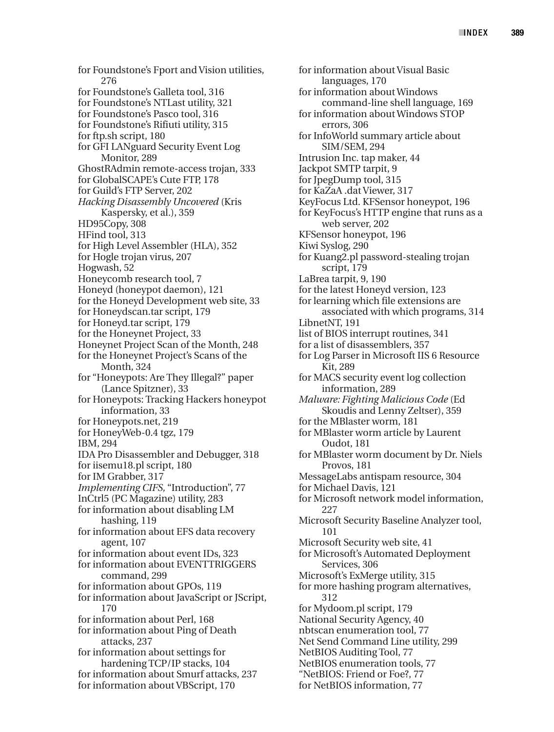for Foundstone's Fport and Vision utilities, 276 for Foundstone's Galleta tool, 316 for Foundstone's NTLast utility, 321 for Foundstone's Pasco tool, 316 for Foundstone's Rifiuti utility, 315 for ftp.sh script, 180 for GFI LANguard Security Event Log Monitor, 289 GhostRAdmin remote-access trojan, 333 for GlobalSCAPE's Cute FTP, 178 for Guild's FTP Server, 202 *Hacking Disassembly Uncovered* (Kris Kaspersky, et al.), 359 HD95Copy, 308 HFind tool, 313 for High Level Assembler (HLA), 352 for Hogle trojan virus, 207 Hogwash, 52 Honeycomb research tool, 7 Honeyd (honeypot daemon), 121 for the Honeyd Development web site, 33 for Honeydscan.tar script, 179 for Honeyd.tar script, 179 for the Honeynet Project, 33 Honeynet Project Scan of the Month, 248 for the Honeynet Project's Scans of the Month, 324 for "Honeypots: Are They Illegal?" paper (Lance Spitzner), 33 for Honeypots: Tracking Hackers honeypot information, 33 for Honeypots.net, 219 for HoneyWeb-0.4 tgz, 179 IBM, 294 IDA Pro Disassembler and Debugger, 318 for iisemu18.pl script, 180 for IM Grabber, 317 *Implementing CIFS,* "Introduction", 77 InCtrl5 (PC Magazine) utility, 283 for information about disabling LM hashing, 119 for information about EFS data recovery agent, 107 for information about event IDs, 323 for information about EVENTTRIGGERS command, 299 for information about GPOs, 119 for information about JavaScript or JScript, 170 for information about Perl, 168 for information about Ping of Death attacks, 237 for information about settings for hardening TCP/IP stacks, 104 for information about Smurf attacks, 237 for information about VBScript, 170

for information about Visual Basic languages, 170 for information about Windows command-line shell language, 169 for information about Windows STOP errors, 306 for InfoWorld summary article about SIM/SEM, 294 Intrusion Inc. tap maker, 44 Jackpot SMTP tarpit, 9 for JpegDump tool, 315 for KaZaA .dat Viewer, 317 KeyFocus Ltd. KFSensor honeypot, 196 for KeyFocus's HTTP engine that runs as a web server, 202 KFSensor honeypot, 196 Kiwi Syslog, 290 for Kuang2.pl password-stealing trojan script, 179 LaBrea tarpit, 9, 190 for the latest Honeyd version, 123 for learning which file extensions are associated with which programs, 314 LibnetNT, 191 list of BIOS interrupt routines, 341 for a list of disassemblers, 357 for Log Parser in Microsoft IIS 6 Resource Kit, 289 for MACS security event log collection information, 289 *Malware: Fighting Malicious Code* (Ed Skoudis and Lenny Zeltser), 359 for the MBlaster worm, 181 for MBlaster worm article by Laurent Oudot, 181 for MBlaster worm document by Dr. Niels Provos, 181 MessageLabs antispam resource, 304 for Michael Davis, 121 for Microsoft network model information, 227 Microsoft Security Baseline Analyzer tool, 101 Microsoft Security web site, 41 for Microsoft's Automated Deployment Services, 306 Microsoft's ExMerge utility, 315 for more hashing program alternatives, 312 for Mydoom.pl script, 179 National Security Agency, 40 nbtscan enumeration tool, 77 Net Send Command Line utility, 299 NetBIOS Auditing Tool, 77 NetBIOS enumeration tools, 77 "NetBIOS: Friend or Foe?, 77 for NetBIOS information, 77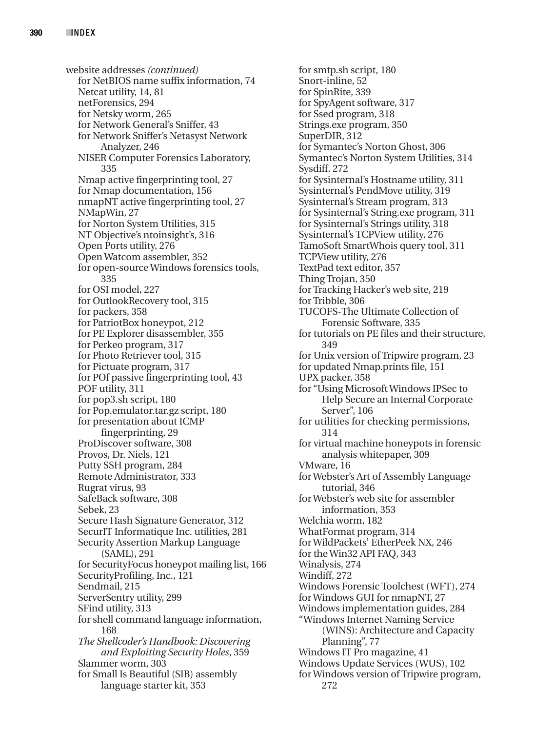website addresses *(continued)* for NetBIOS name suffix information, 74 Netcat utility, 14, 81 netForensics, 294 for Netsky worm, 265 for Network General's Sniffer, 43 for Network Sniffer's Netasyst Network Analyzer, 246 NISER Computer Forensics Laboratory, 335 Nmap active fingerprinting tool, 27 for Nmap documentation, 156 nmapNT active fingerprinting tool, 27 NMapWin, 27 for Norton System Utilities, 315 NT Objective's ntoinsight's, 316 Open Ports utility, 276 Open Watcom assembler, 352 for open-source Windows forensics tools, 335 for OSI model, 227 for OutlookRecovery tool, 315 for packers, 358 for PatriotBox honeypot, 212 for PE Explorer disassembler, 355 for Perkeo program, 317 for Photo Retriever tool, 315 for Pictuate program, 317 for POf passive fingerprinting tool, 43 POF utility, 311 for pop3.sh script, 180 for Pop.emulator.tar.gz script, 180 for presentation about ICMP fingerprinting, 29 ProDiscover software, 308 Provos, Dr. Niels, 121 Putty SSH program, 284 Remote Administrator, 333 Rugrat virus, 93 SafeBack software, 308 Sebek, 23 Secure Hash Signature Generator, 312 SecurIT Informatique Inc. utilities, 281 Security Assertion Markup Language (SAML), 291 for SecurityFocus honeypot mailing list, 166 SecurityProfiling, Inc., 121 Sendmail, 215 ServerSentry utility, 299 SFind utility, 313 for shell command language information, 168 *The Shellcoder's Handbook: Discovering and Exploiting Security Holes*, 359 Slammer worm, 303 for Small Is Beautiful (SIB) assembly language starter kit, 353

for smtp.sh script, 180 Snort-inline, 52 for SpinRite, 339 for SpyAgent software, 317 for Ssed program, 318 Strings.exe program, 350 SuperDIR, 312 for Symantec's Norton Ghost, 306 Symantec's Norton System Utilities, 314 Sysdiff, 272 for Sysinternal's Hostname utility, 311 Sysinternal's PendMove utility, 319 Sysinternal's Stream program, 313 for Sysinternal's String.exe program, 311 for Sysinternal's Strings utility, 318 Sysinternal's TCPView utility, 276 TamoSoft SmartWhois query tool, 311 TCPView utility, 276 TextPad text editor, 357 Thing Trojan, 350 for Tracking Hacker's web site, 219 for Tribble, 306 TUCOFS-The Ultimate Collection of Forensic Software, 335 for tutorials on PE files and their structure, 349 for Unix version of Tripwire program, 23 for updated Nmap.prints file, 151 UPX packer, 358 for "Using Microsoft Windows IPSec to Help Secure an Internal Corporate Server", 106 for utilities for checking permissions, 314 for virtual machine honeypots in forensic analysis whitepaper, 309 VMware, 16 for Webster's Art of Assembly Language tutorial, 346 for Webster's web site for assembler information, 353 Welchia worm, 182 WhatFormat program, 314 for WildPackets' EtherPeek NX, 246 for the Win32 API FAQ, 343 Winalysis, 274 Windiff, 272 Windows Forensic Toolchest (WFT), 274 for Windows GUI for nmapNT, 27 Windows implementation guides, 284 "Windows Internet Naming Service (WINS): Architecture and Capacity Planning", 77 Windows IT Pro magazine, 41 Windows Update Services (WUS), 102 for Windows version of Tripwire program, 272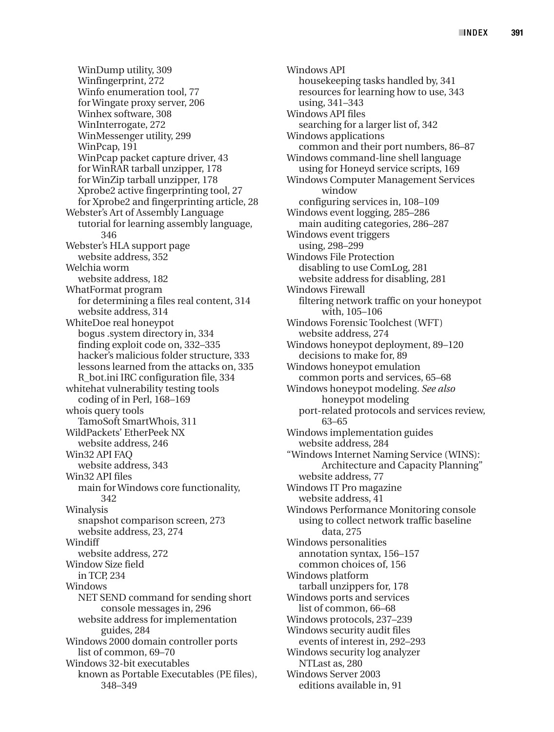WinDump utility, 309 Winfingerprint, 272 Winfo enumeration tool, 77 for Wingate proxy server, 206 Winhex software, 308 WinInterrogate, 272 WinMessenger utility, 299 WinPcap, 191 WinPcap packet capture driver, 43 for WinRAR tarball unzipper, 178 for WinZip tarball unzipper, 178 Xprobe2 active fingerprinting tool, 27 for Xprobe2 and fingerprinting article, 28 Webster's Art of Assembly Language tutorial for learning assembly language, 346 Webster's HLA support page website address, 352 Welchia worm website address, 182 WhatFormat program for determining a files real content, 314 website address, 314 WhiteDoe real honeypot bogus .system directory in, 334 finding exploit code on, 332–335 hacker's malicious folder structure, 333 lessons learned from the attacks on, 335 R\_bot.ini IRC configuration file, 334 whitehat vulnerability testing tools coding of in Perl, 168–169 whois query tools TamoSoft SmartWhois, 311 WildPackets' EtherPeek NX website address, 246 Win32 API FAQ website address, 343 Win32 API files main for Windows core functionality, 342 Winalysis snapshot comparison screen, 273 website address, 23, 274 **Windiff** website address, 272 Window Size field in TCP, 234 Windows NET SEND command for sending short console messages in, 296 website address for implementation guides, 284 Windows 2000 domain controller ports list of common, 69–70 Windows 32-bit executables known as Portable Executables (PE files), 348–349

Windows API housekeeping tasks handled by, 341 resources for learning how to use, 343 using, 341–343 Windows API files searching for a larger list of, 342 Windows applications common and their port numbers, 86–87 Windows command-line shell language using for Honeyd service scripts, 169 Windows Computer Management Services window configuring services in, 108–109 Windows event logging, 285–286 main auditing categories, 286–287 Windows event triggers using, 298–299 Windows File Protection disabling to use ComLog, 281 website address for disabling, 281 Windows Firewall filtering network traffic on your honeypot with, 105–106 Windows Forensic Toolchest (WFT) website address, 274 Windows honeypot deployment, 89–120 decisions to make for, 89 Windows honeypot emulation common ports and services, 65–68 Windows honeypot modeling. *See also* honeypot modeling port-related protocols and services review, 63–65 Windows implementation guides website address, 284 "Windows Internet Naming Service (WINS): Architecture and Capacity Planning" website address, 77 Windows IT Pro magazine website address, 41 Windows Performance Monitoring console using to collect network traffic baseline data, 275 Windows personalities annotation syntax, 156–157 common choices of, 156 Windows platform tarball unzippers for, 178 Windows ports and services list of common, 66–68 Windows protocols, 237–239 Windows security audit files events of interest in, 292–293 Windows security log analyzer NTLast as, 280 Windows Server 2003 editions available in, 91